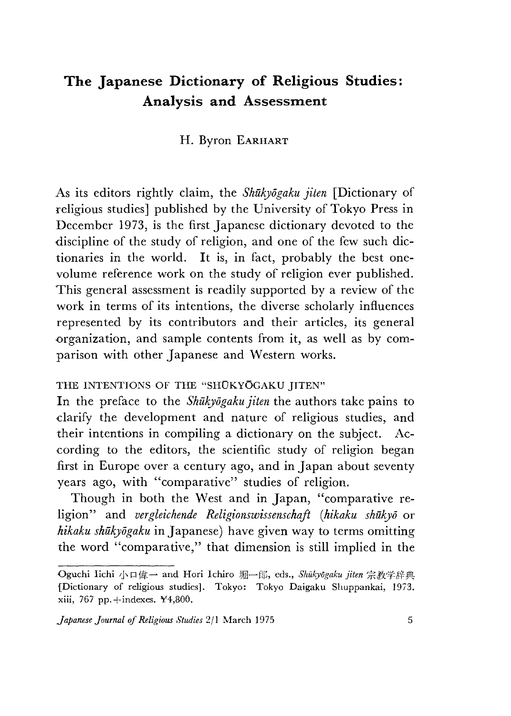# **The Japanese Dictionary of Religious Studies: Analysis and Assessment**

## H. Byron EARHART

As its editors rightly claim, the *Shukyogaku jiten* [Dictionary of religious studies] published by the University of Tokyo Press in December 1973, is the first Japanese dictionary devoted to the discipline of the study of religion, and one of the few such dictionaries in the world. It is, in fact, probably the best onevolume reference work on the study of religion ever published. This general assessment is readily supported by a review of the work in terms of its intentions, the diverse scholarly influences represented by its contributors and their articles, its general organization, and sample contents from it, as well as by comparison with other Japanese and Western works.

#### THE INTENTIONS OF THE "SHŪKYOGAKU IITEN"

In the preface to the *Shūkyōgaku jiten* the authors take pains to clarify the development and nature of religious studies, and their intentions in compiling a dictionary on the subject. According to the editors, the scientific study of religion began first in Europe over a century ago, and in Japan about seventy years ago, with "comparative" studies of religion.

Though in both the West and in Japan, "comparative religion" and *vergleichende Religionswissenschaft (hikaku shūkyō* or *hikaku shukyogaku* in Japanese) have given way to terms omitting the word "comparative," that dimension is still implied in the

Oguchi Iichi 小口偉一 and Hori Ichiro 堀一郎, eds., *Shūkyōgaku jiten* 宗教学辞典 {Dictionary of religious studies], Tokyo: Tokyo Daigaku Shuppankai, 1973. xiii, 767 pp.+indexes. ¥4,800.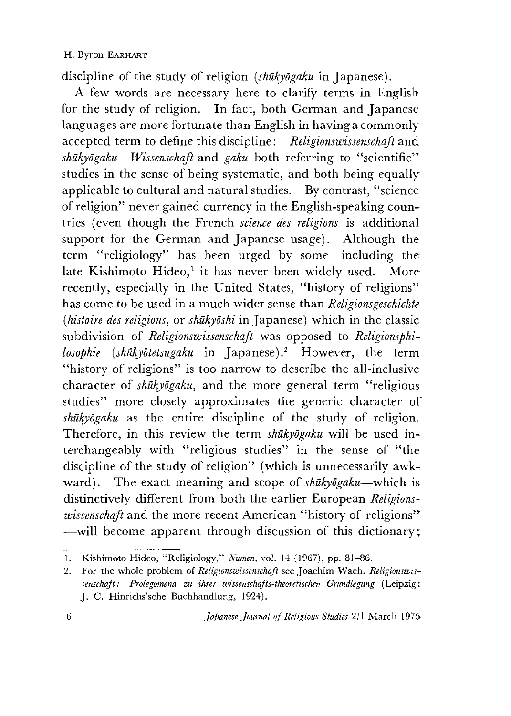discipline of the study of religion *[shukyogaku* in Japanese).

A Few words are necessary here to clarify terms in English for the study of religion. In fact, both German and Japanese languages are more fortunate than English in having a commonly accepted term to define this discipline: *Religionswissenschaft* and *shukyogaku— Wissenschaft* and *gaku* both referring to "scientific" studies in the sense of being systematic, and both being equally applicable to cultural and natural studies. By contrast, "science of religion" never gained currency in the English-speaking countries (even though the French *science des religions* is additional support for the German and Japanese usage). Although the term "religiology" has been urged by some—including the late Kishimoto Hideo,<sup>1</sup> it has never been widely used. More recently, especially in the United States, "history of religions" has come to be used in a much wider sense than *Religionsgeschichte (histoire des religions, or shukyoshi* in Japanese) which in the classic subdivision of *Religionswissenschaft* was opposed to *Religionsphilosophie [shukyotetsugaku* in Japanese).2 However, the term "history of religions" is too narrow to describe the all-inclusive character of *shukyogaku,* and the more general term ''religious studies" more closely approximates the generic character of *shukyogaku* as the entire discipline of the study of religion. Therefore, in this review the term *shūkyōgaku* will be used interchangeably with "religious studies" in the sense of "the discipline of the study of religion" (which is unnecessarily awkward). The exact meaning and scope of *shukyogaku*—which is distinctively different from both the earlier European *Religionswissenschaft* and the more recent American "history of religions" will become apparent through discussion of this dictionary;

<sup>1.</sup> Kishimoto Hideo, "Religiology," Numen, vol. 14 (1967), pp. 81-86.

<sup>2.</sup> For the whole problem of *Religionswissenschaft* see Joachim Wach, *Religionswissenschajt: Prolegomena zu ihrer wissenschafts-theoretischen Grundlegung* (Leipzig: J. C. Hinrichs'sche Buchhandlung, 1924).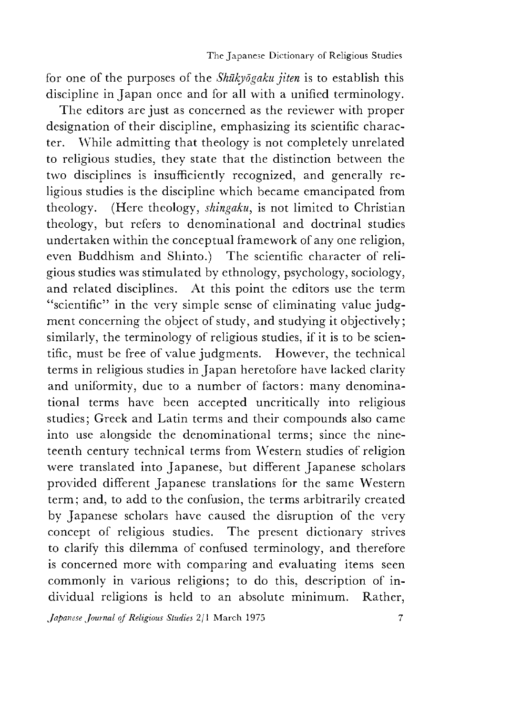for one of the purposes of the *Shukyogaku jiten* is to establish this discipline in Japan once and for all with a unified terminology.

The editors are just as concerned as the reviewer with proper designation of their discipline, emphasizing its scientific character. While admitting that theology is not completely unrelated to religious studies, they state that the distinction between the two disciplines is insufficiently recognized, and generally religious studies is the discipline which became emancipated from theology. (Here theology, *shingaku,* is not limited to Christian theology, but refers to denominational and doctrinal studies undertaken within the conceptual framework of any one religion, even Buddhism and Shinto.) The scientific character of religious studies was stimulated by ethnology, psychology, sociology, and related disciplines. At this point the editors use the term "scientific" in the very simple sense of eliminating value judgment concerning the object of study, and studying it objectively; similarly, the terminology of religious studies, if it is to be scientific, must be free of value judgments. However, the technical terms in religious studies in Japan heretofore have lacked clarity and uniformity, due to a number of factors: many denominational terms have been accepted uncritically into religious studies; Greek and Latin terms and their compounds also came into use alongside the denominational terms; since the nineteenth century technical terms from Western studies of religion were translated into Japanese, but different Japanese scholars provided different Japanese translations for the same Western term; and, to add to the confusion, the terms arbitrarily created by Japanese scholars have caused the disruption of the very concept of religious studies. The present dictionary strives to clarify this dilemma of confused terminology, and therefore is concerned more with comparing and evaluating items seen commonly in various religions; to do this, description of individual religions is held to an absolute minimum. Rather,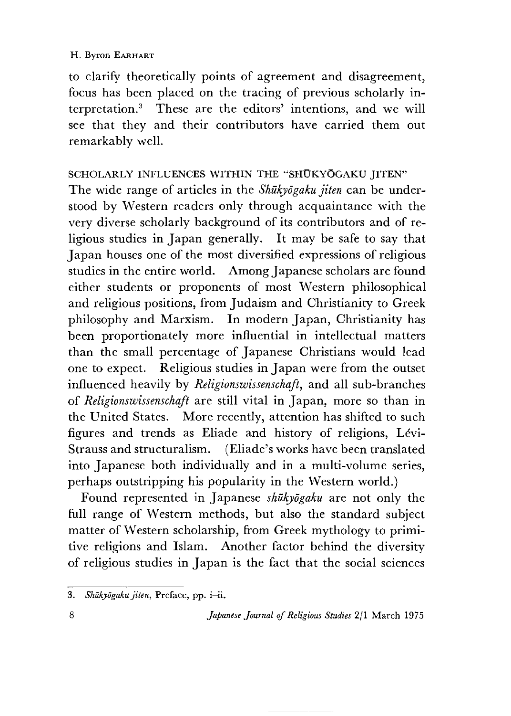to clarify theoretically points of agreement and disagreement, focus has been placed on the tracing of previous scholarly interpretation.3 These are the editors' intentions, and we will see that they and their contributors have carried them out remarkably well.

## SCHOLARLY INFLUENCES WITHIN THE "SHUKYOGAKU IITEN"

The wide range of articles in the *Shukyogaku jiten* can be understood by Western readers only through acquaintance with the very diverse scholarly background of its contributors and of religious studies in Japan generally. It may be safe to say that Japan houses one of the most diversified expressions of religious studies in the entire world. Among Japanese scholars are found either students or proponents of most Western philosophical and religious positions, from Judaism and Christianity to Greek philosophy and Marxism. In modern Japan, Christianity has been proportionately more influential in intellectual matters than the small percentage of Japanese Christians would lead one to expect. Religious studies in Japan were from the outset influenced heavily by *Religionswissenschaft* and all sub-branches of *Religionswissenschaft* are still vital in Japan, more so than in the United States. More recently, attention has shifted to such figures and trends as Eliade and history of religions, Levi-Strauss and structuralism. (Eliade's works have been translated into Japanese both individually and in a multi-volume series, perhaps outstripping his popularity in the Western world.)

Found represented in Japanese *shukyogaku* are not only the full range of Western methods, but also the standard subject matter of Western scholarship, from Greek mythology to primitive religions and Islam. Another factor behind the diversity of religious studies in Japan is the fact that the social sciences

<sup>3.</sup> Shūkyōgaku jiten, Preface, pp. i-ii.

<sup>8</sup> *Japanese Journal of Religious Studies* 2/1 March 1975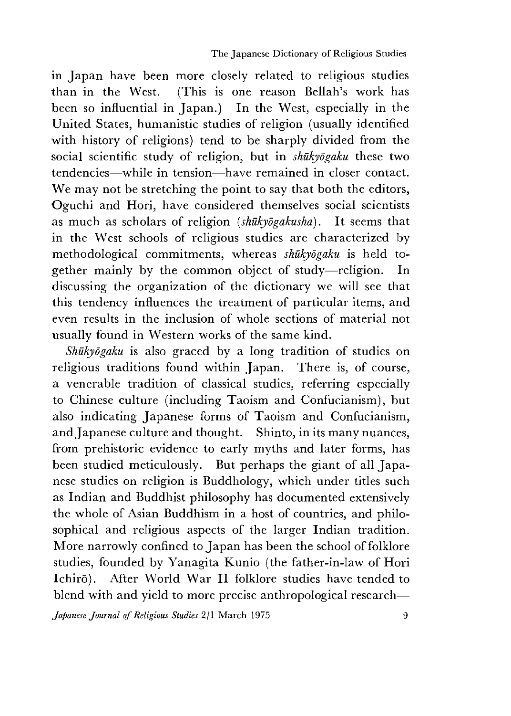in Japan have been more closely related to religious studies than in the West. (This is one reason Bellah's work has been so influential in Japan.) In the West, especially in the United States, humanistic studies of religion (usually identified with history of religions) tend to be sharply divided from the social scientific study of religion, but in *shukyogaku* these two tendencies—while in tension—have remained in closer contact. We may not be stretching the point to say that both the editors, Oguchi and Hori, have considered themselves social scientists as much as scholars of religion *{shukyogakusha)*. It seems that in the West schools of religious studies are characterized by methodological commitments, whereas *shukyogaku* is held together mainly by the common object of study—religion. In discussing the organization of the dictionary we will see that this tendency influences the treatment of particular items, and even results in the inclusion of whole sections of material not usually found in Western works of the same kind.

*Shukyogaku* is also graced by a long tradition of studies on religious traditions found within Japan. There is, of course, a venerable tradition of classical studies, referring especially to Chinese culture (including Taoism and Confucianism), but also indicating Japanese forms of Taoism and Confucianism, and Japanese culture and thought. Shinto, in its many nuances, from prehistoric evidence to early myths and later forms, has been studied meticulously. But perhaps the giant of all Japanese studies on religion is Buddhology, which under titles such as Indian and Buddhist philosophy has documented extensively the whole of Asian Buddhism in a host of countries, and philosophical and religious aspects of the larger Indian tradition. More narrowly confined to Japan has been the school of folklore studies, founded by Yanagita Kunio (the father-in-law of Hori Ichirō). After World War II folklore studies have tended to blend with and yield to more precise anthropological research—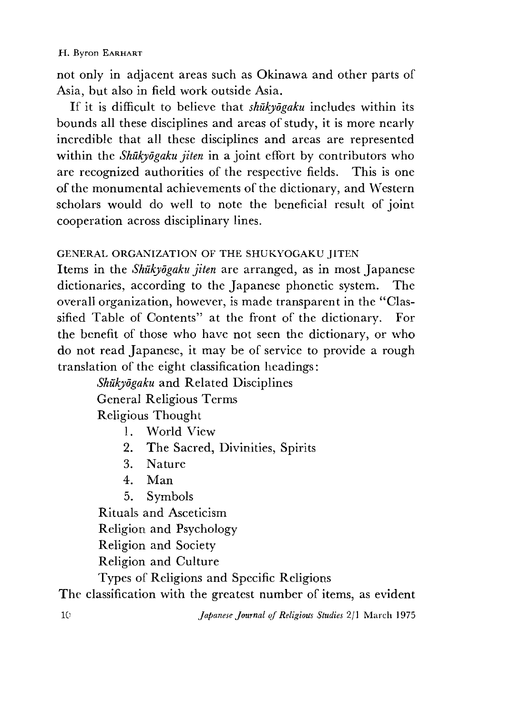### H. Byron EARHART

not only in adjacent areas such as Okinawa and other parts of Asia, but also in field work outside Asia.

If it is difficult to believe that *shukyogaku* includes within its bounds all these disciplines and areas of study, it is more nearly incredible that all these disciplines and areas are represented within the *Shukyogaku jiten* in a joint effort by contributors who are recognized authorities of the respective fields. This is one of the monumental achievements of the dictionary, and Western scholars would do well to note the beneficial result of joint cooperation across disciplinary lines.

## GENERAL ORGANIZATION OF THE SHUKYOGAKU IITEN

Items in the *Shukyogaku jiten* are arranged, as in most Japanese dictionaries, according to the Japanese phonetic system. The overall organization, however, is made transparent in the "Classified Table of Contents" at the front of the dictionary. For the benefit of those who have not seen the dictionary, or who do not read Japanese, it may be of service to provide a rough translation of the eight classification headings:

> *Shukyogaku* and Related Disciplines General Religious Terms Religious Thought

- 1. World View
- 2. The Sacred, Divinities, Spirits
- 3. Nature
- 4. Man
- 5. Symbols

Rituals and Asceticism

Religion and Psychology

Religion and Society

Religion and Culture

Types of Religions and Specific Religions

The classification with the greatest number of items, as evident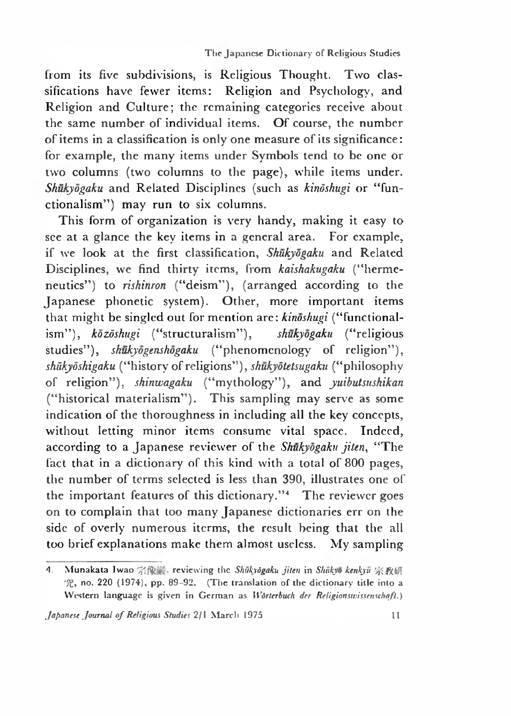from its five subdivisions, is Religious Thought. Two classifications have fewer items: Religion and Psychology, and Religion and Culture; the remaining categories receive about the same number of individual items. Of course, the number of items in a classification is only one measure of its significance: for example, the many items under Symbols tend to be one or two columns (two columns to the page), while items under. *Shukyogaku* and Related Disciplines (such as *kindshugi* or "functionalism") may run to six columns.

This form of organization is very handy, making it easy to see at a glance the key items in a general area. For example, if we look at the first classification, *Shukyogaku* and Related Disciplines, we find thirty items, from *kaishakugaku* ("hermeneutics") to *rishinron* ("deism"), (arranged according to the Japanese phonetic system). Other, more important items that might be singled out for mention are: *kinoshugi* ("functionalism',),*kozdshugi* ("structuralism"), *shukyogaku* ("religious studies"), *shukyogenshogaku* ("phenomenology of religion"), *shiikyoshigaku* ("history of religions*"),shukydtetsugaku* ("philosophy of religion,,), *shinwagaku* ("mythology"), and *yuibutsushikan* ("historical materialism"). This sampling may serve as some indication of the thoroughness in including all the key concepts, without letting minor items consume vital space. Indeed, according to a Japanese reviewer of the *Shukyogaku jiten*, "The fact that in a dictionary of this kind with a total of 800 pages, the number of terms selected is less than 390, illustrates one of the important features of this dictionary." $4$  The reviewer goes on to complain that too many Japanese dictionaries err on the side of overly numerous iterms, the result being that the all too brief explanations make them almost useless. My sampling

<sup>4.</sup> Munakata Iwao 宗像 reviewing the *Shukvāgaku jiten* in *Shūkyō kenkyū* 宗教研 究,no. 220 (1974),pp. 89-92. (The translation of the dictionary **title** into a Western language is given in German as *Wörterbuch der Religionswissenschaft*.)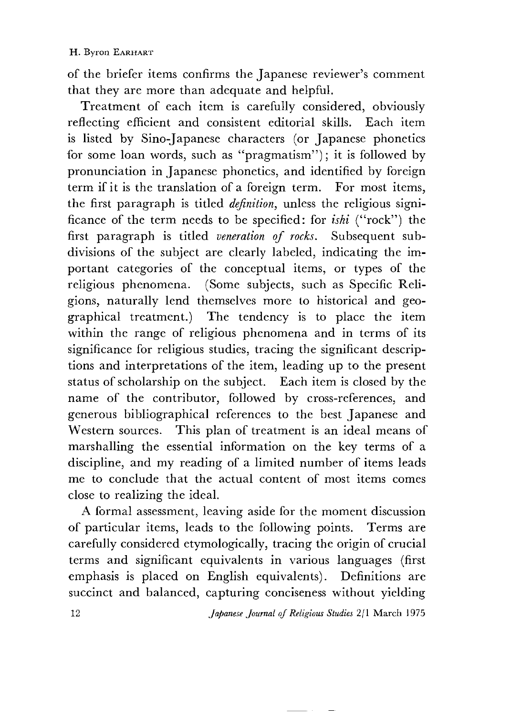of the briefer items confirms the Japanese reviewer's comment that they are more than adequate and helpful.

Treatment of each item is carefully considered, obviously reflecting efficient and consistent editorial skills. Each item is listed by Sino-Japanese characters (or Japanese phonetics for some loan words, such as "pragmatism"); it is followed by pronunciation in Japanese phonetics, and identified by foreign term if it is the translation of a foreign term. For most items, the first paragraph is titled *definition,* unless the religious significance of the term needs to be specified: for *ishi* ("rock") the first paragraph is titled *veneration of rocks.* Subsequent subdivisions of the subject are clearly labeled, indicating the important categories of the conceptual items, or types of the religious phenomena. (Some subjects, such as Specific Religions, naturally lend themselves more to historical and geographical treatment.) The tendency is to place the item within the range of religious phenomena and in terms of its significance for religious studies, tracing the significant descriptions and interpretations of the item, leading up to the present status of scholarship on the subject. Each item is closed by the name of the contributor, followed by cross-references, and generous bibliographical references to the best Japanese and Western sources. This plan of treatment is an ideal means of marshalling the essential information on the key terms of a discipline, and my reading of a limited number of items leads me to conclude that the actual content of most items comes close to realizing the ideal.

A formal assessment, leaving aside for the moment discussion of particular items, leads to the following points. Terms are carefully considered etymologically, tracing the origin of crucial terms and significant equivalents in various languages (first emphasis is placed on English equivalents). Definitions are succinct and balanced, capturing conciseness without yielding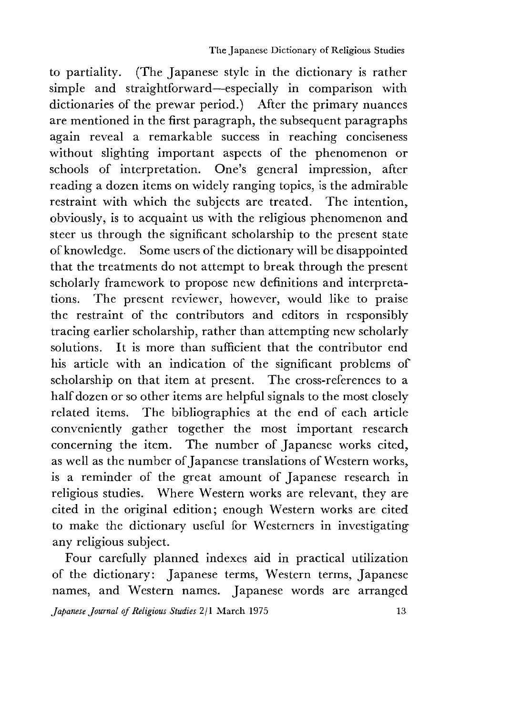to partiality. (The Japanese style in the dictionary is rather simple and straightforward—especially in comparison with dictionaries of the prewar period.) After the primary nuances are mentioned in the first paragraph, the subsequent paragraphs again reveal a remarkable success in reaching conciseness without slighting important aspects of the phenomenon or schools of interpretation. One's general impression, after reading a dozen items on widely ranging topics, is the admirable restraint with which the subjects are treated. The intention, obviously, is to acquaint us with the religious phenomenon and steer us through the significant scholarship to the present state of knowledge. Some users of the dictionary will be disappointed that the treatments do not attempt to break through the present scholarly framework to propose new definitions and interpretations. The present reviewer, however, would like to praise the restraint of the contributors and editors in responsibly tracing earlier scholarship, rather than attempting new scholarly solutions. It is more than sufficient that the contributor end his article with an indication of the significant problems of scholarship on that item at present. The cross-references to a half dozen or so other items are helpful signals to the most closely related items. The bibliographies at the end of each article conveniently gather together the most important research concerning the item. The number of Japanese works cited, as well as the number of Japanese translations of Western works, is a reminder of the great amount of Japanese research in religious studies. Where Western works are relevant, they are cited in the original edition; enough Western works are cited to make the dictionary useful for Westerners in investigating any religious subject.

Four carefully planned indexes aid in practical utilization of the dictionary: Japanese terms, Western terms, Japanese names, and Western names. Japanese words are arranged

*Japanese Journal of Religious Studies* 2/1 March 1975 is a state of 13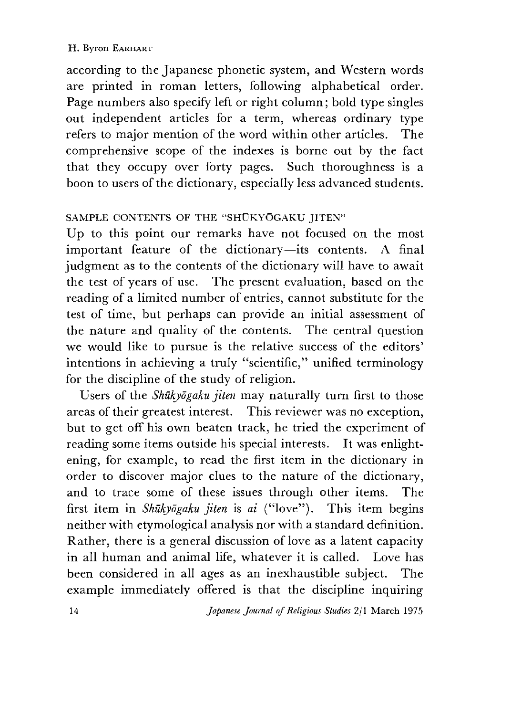according to the Japanese phonetic system, and Western words are printed in roman letters, following alphabetical order. Page numbers also specify left or right column; bold type singles out independent articles for a term, whereas ordinary type refers to major mention of the word within other articles. The comprehensive scope of the indexes is borne out by the fact that they occupy over forty pages. Such thoroughness is a boon to users of the dictionary, especially less advanced students.

## SAMPLE CONTENTS OF THE "SHUKYOGAKU JITEN"

Up to this point our remarks have not focused on the most important feature of the dictionary—its contents. A final judgment as to the contents of the dictionary will have to await the test of years of use. The present evaluation, based on the reading of a limited number of entries, cannot substitute for the test of time, but perhaps can provide an initial assessment of the nature and quality of the contents. The central question we would like to pursue is the relative success of the editors' intentions in achieving a truly "scientific," unified terminology for the discipline of the study of religion.

Users of the *Shukyogaku jiten* may naturally turn first to those areas of their greatest interest. This reviewer was no exception, but to get off his own beaten track, he tried the experiment of reading some items outside his special interests. It was enlightening, for example, to read the first item in the dictionary in order to discover major clues to the nature of the dictionary, and to trace some of these issues through other items. The first item in *Shūkyōgaku jiten* is *ai* ("love"). This item begins neither with etymological analysis nor with a standard definition. Rather, there is a general discussion of love as a latent capacity in all human and animal life, whatever it is called. Love has been considered in all ages as an inexhaustible subject. The example immediately offered is that the discipline inquiring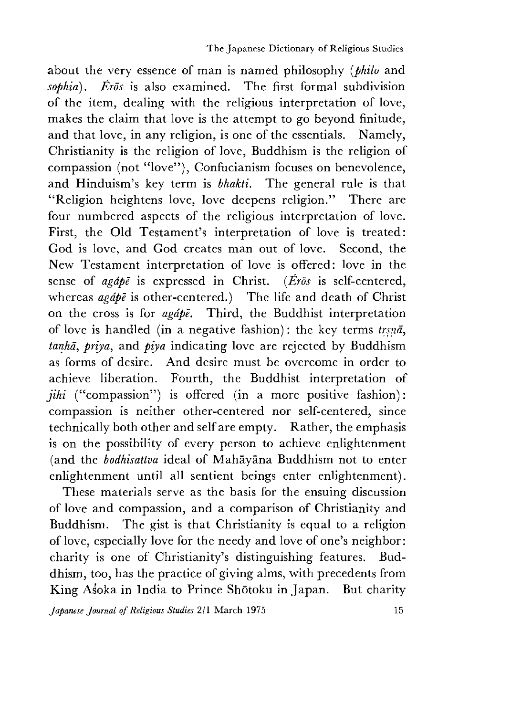about the very essence of man is named philosophy *(philo* and *sophia). Eros* is also examined. The first formal subdivision of the item, dealing with the religious interpretation of love, makes the claim that love is the attempt to go beyond finitude, and that love, in any religion, is one of the essentials. Namely, Christianity is the religion of love, Buddhism is the religion of compassion (not "love"), Confucianism focuses on benevolence, and Hinduism's key term is *bhakti.* The general rule is that "Religion heightens love, love deepens religion." There are four numbered aspects of the religious interpretation of love. First, the Old Testament's interpretation of love is treated: God is love, and God creates man out of love. Second, the New Testament interpretation of love is offered: love in the sense of *agape* is expressed in Christ. *{Eros* is self-centered, whereas *apate* is other-centered.) The life and death of Christ on the cross is for *agape.* Third, the Buddhist interpretation of love is handled (in a negative fashion): the key terms *trsna tanha^ priya,* and *piya* indicating love are rejected by Buddhism as forms of desire. And desire must be overcome in order to achieve liberation. Fourth, the Buddhist interpretation of  $jihi$  ("compassion") is offered (in a more positive fashion): compassion is neither other-centered nor self-centered, since technically both other and self are empty. Rather, the emphasis is on the possibility of every person to achieve enlightenment (and the *bodhisattva* ideal of Mahayana Buddhism not to enter enlightenment until all sentient beings enter enlightenment).

These materials serve as the basis for the ensuing discussion of love and compassion,and a comparison of Christianity and Buddhism. The gist is that Christianity is equal to a religion of love, especially love for the needy and love of one's neighbor: charity is one of Christianity's distinguishing features. Buddhism, too, has the practice of giving alms, with precedents from King Asoka in India to Prince Shotoku in Japan. But charity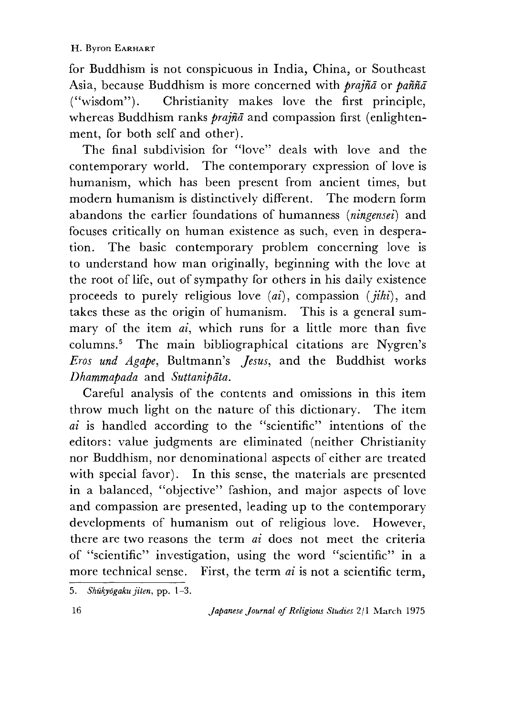for Buddhism is not conspicuous in India, China, or Southeast Asia, because Buddhism is more concerned with *prajnd* or *panna* ("wisdom"). Christianity makes love the first principle, whereas Buddhism ranks *prajnd* and compassion first (enlightenment, for both self and other).

The final subdivision for "love" deals with love and the contemporary world. The contemporary expression of love is humanism, which has been present from ancient times, but modern humanism is distinctively different. The modern form abandons the earlier foundations of humanness *(ningensei)* and focuses critically on human existence as such, even in desperation. The basic contemporary problem concerning love is to understand how man originally, beginning with the love at the root of life, out of sympathy for others in his daily existence proceeds to purely religious love *(ai)*, compassion *(jihi)*, and takes these as the origin of humanism. This is a general summary of the item *ai,* which runs for a little more than five columns.5 The main bibliographical citations are Nygren's *Eros und Agape,* Bultmann's *Jesus*,and the Buddhist works *Dhammapada* and *Suttanipdta.*

Careful analysis of the contents and omissions in this item throw much light on the nature of this dictionary. The item *ai* is handled according to the "scientific" intentions of the editors: value judgments are eliminated (neither Christianity nor Buddhism, nor denominational aspects of either are treated with special favor). In this sense, the materials are presented in a balanced, "objective" fashion, and major aspects of love and compassion are presented, leading up to the contemporary developments of humanism out of religious love. However, there are two reasons the term *ai* does not meet the criteria of "scientific" investigation, using the word "scientific" in a more technical sense. First, the term *ai* is not a scientific term,

<sup>5.</sup> *Shukyogaku jiten,* pp. 1-3.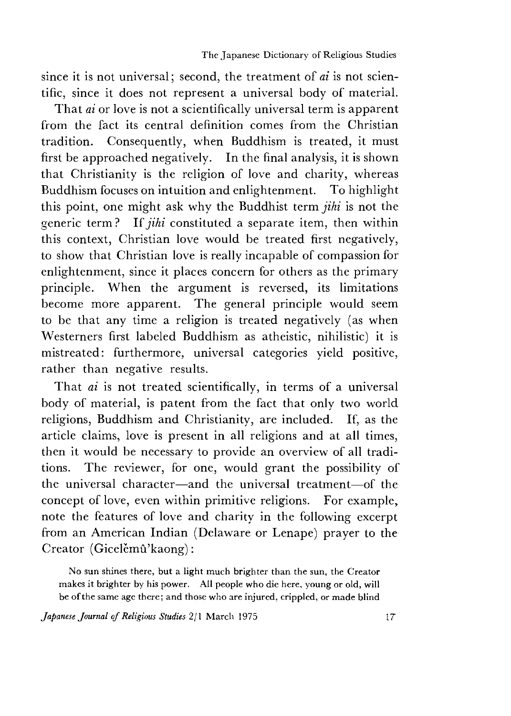since it is not universal; second, the treatment of *ai* is not scientific, since it does not represent a universal body of material.

That *ai* or love is not a scientifically universal term is apparent from the fact its central definition comes from the Christian tradition. Consequently, when Buddhism is treated, it must first be approached negatively. In the final analysis, it is shown that Christianity is the religion of love and charity, whereas Buddhism focuses on intuition and enlightenment. To highlight this point, one might ask why the Buddhist term *jihi* is not the generic term? If *jihi* constituted a separate item, then within this context, Christian love would be treated first negatively, to show that Christian love is really incapable of compassion for enlightenment, since it places concern for others as the primary principle. When the argument is reversed, its limitations become more apparent. The general principle would seem to be that any time a religion is treated negatively (as when Westerners first labeled Buddhism as atheistic, nihilistic) it is mistreated: furthermore, universal categories yield positive, rather than negative results.

That *ai* is not treated scientifically, in terms of a universal body of material, is patent from the fact that only two world religions, Buddhism and Christianity, are included. If, as the article claims, love is present in all religions and at all times, then it would be necessary to provide an overview of all traditions. The reviewer, for one, would grant the possibility of the universal character—and the universal treatment—of the concept of love, even within primitive religions. For example, note the features of love and charity in the following excerpt from an American Indian (Delaware or Lenape) prayer to the Creator (Gicelěmû'kaong):

No sun shines there, but a light much brighter than the sun, the Creator makes it brighter by his power. Ail people who die here, young or old, will be of the same age there; and those who are injured, crippled, or made blind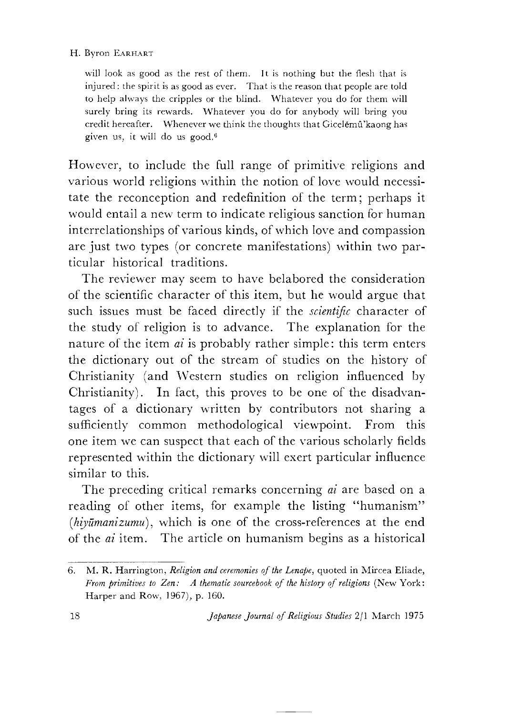#### H. Byron EARHART

will look as good as the rest of them. It is nothing but the flesh that is injured : the spirit is as good as ever. That is the reason that people are told to help always the cripples or the blind. Whatever you do for them will surely bring its rewards. Whatever you do for anybody will bring you credit hereafter. Whenever we think the thoughts that Gicelemu'kaong has given us, it will do us good.6

However, to include the full range of primitive religions and various world religions within the notion of love would necessitate the reconception and redefinition of the term; perhaps it would entail a new term to indicate religious sanction for human interrelationships of various kinds, of which love and compassion are just two types (or concrete manifestations) within two particular historical traditions.

The reviewer may seem to have belabored the consideration of the scientific character of this item, but he would argue that such issues must be faced directly if the *scientific* character of the study of religion is to advance. The explanation for the nature of the item *ai* is probably rather simple: this term enters the dictionary out of the stream of studies on the history of Christianity (and Western studies on religion influenced by Christianity). In fact, this proves to be one of the disadvantages of a dictionary written by contributors not sharing a sufficiently common methodological viewpoint. From this one item we can suspect that each of the various scholarly fields represented within the dictionary will exert particular influence similar to this.

The preceding critical remarks concerning *ai* are based on a reading of other items, for example the listing "humanism" *[hiyumanizumu),* which is one of the cross-references at the end of the *ai* item. The article on humanism begins as a historical

<sup>6.</sup> M. R. Harrington, *Religion and ceremonies o f the Lenape,* quoted in Mircea Eliade, *From primitives to Zen:* A thematic sourcebook of the history of religions (New York: Harper and Row, 1967), p. 160.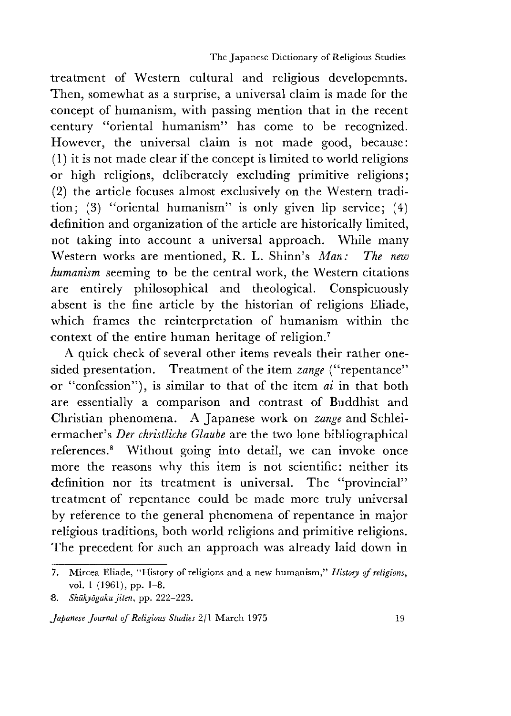treatment of Western cultural and religious developemnts. Then, somewhat as a surprise, a universal claim is made for the concept of humanism, with passing mention that in the recent century "oriental humanism" has come to be recognized. However, the universal claim is not made good, because:  $(1)$  it is not made clear if the concept is limited to world religions or high religions, deliberately excluding primitive religions; (2) the article focuses almost exclusively on the Western tradition; (3) "oriental humanism" is only given lip service;  $(4)$ definition and organization of the article are historically limited, not taking into account a universal approach. While many Western works are mentioned, R. L. Shinn's *Man: The new humanism* seeming to be the central work, the Western citations are entirely philosophical and theological. Conspicuously absent is the fine article by the historian of religions Eliade, which frames the reinterpretation of humanism within the context of the entire human heritage of religion.7

A quick check of several other items reveals their rather onesided presentation. Treatment of the item *zange* ("repentance" or "confession"), is similar to that of the item *ai* in that both are essentially a comparison and contrast of Buddhist and Christian phenomena. A Japanese work on *zange* and Schleiermacher's *Der christliche Glaube* are the two lone bibliographical references.8 Without going into detail, we can invoke once more the reasons why this item is not scientific: neither its definition nor its treatment is universal. The "provincial" treatment of repentance could be made more truly universal by reference to the general phenomena of repentance in major religious traditions, both world religions and primitive religions. The precedent for such an approach was already laid down in

<sup>7.</sup> Mircea Eliade, "History of religions and a new humanism," *History of religions*, vol. 1 (1961), pp. 1-8.

<sup>8.</sup> *Shukyogaku jiten,* pp. 222-223.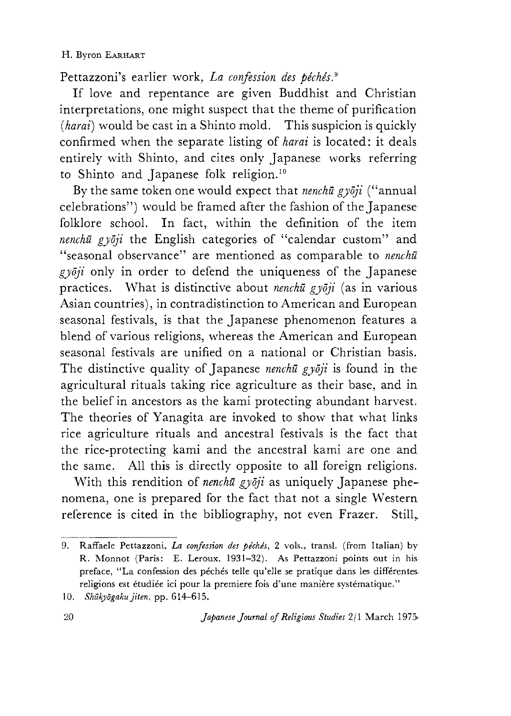### H. Byron EARHART

Pettazzoni's earlier work. *La confession des péchés.*<sup>9</sup>

It love and repentance are given Buddhist and Christian interpretations, one might suspect that the theme of purification *(harai)* would be cast in a Shinto mold. This suspicion is quickly confirmed when the separate listing of *harai* is located: it deals entirely with Shinto, and cites only Japanese works referring to Shinto and Japanese folk religion.<sup>10</sup>

By the same token one would expect that *nenchu gydji* ("annual celebrations") would be framed after the fashion of the Japanese folklore school. In fact, within the definition of the item *nenchu gyōji* the English categories of "calendar custom" and "seasonal observance" are mentioned as comparable to *nenchu gydji* only in order to defend the uniqueness of the Japanese practices. What is distinctive about *nenchu gydji* (as in various Asian countries), in contradistinction to American and European seasonal festivals, is that the Japanese phenomenon features a blend of various religions, whereas the American and European seasonal festivals are unified on a national or Christian basis. The distinctive quality of Japanese *nenchu gydji* is found in the agricultural rituals taking rice agriculture as their base, and in the belief in ancestors as the kami protecting abundant harvest. The theories of Yanagita are invoked to show that what links rice agriculture rituals and ancestral festivals is the fact that the rice-protecting kami and the ancestral kami are one and the same. All this is directly opposite to all foreign religions.

With this rendition of *nenchū gyōji* as uniquely Japanese phenomena, one is prepared for the fact that not a single Western reference is cited in the bibliography, not even Frazer. Still,

<sup>9.</sup> Raffaele Pettazzoni, *La confession des peches,* 2 vols., transl. (from Italian) by R. Monnot (Paris: E. Leroux. 1931-32). As Pettazzoni points out in his preface, "La confession des péchés telle qu'elle se pratique dans les différentes religions est étudiée ici pour la premiere fois d'une manière systématique."

<sup>10.</sup> *Shukyogaku jiten,* pp. 614-615.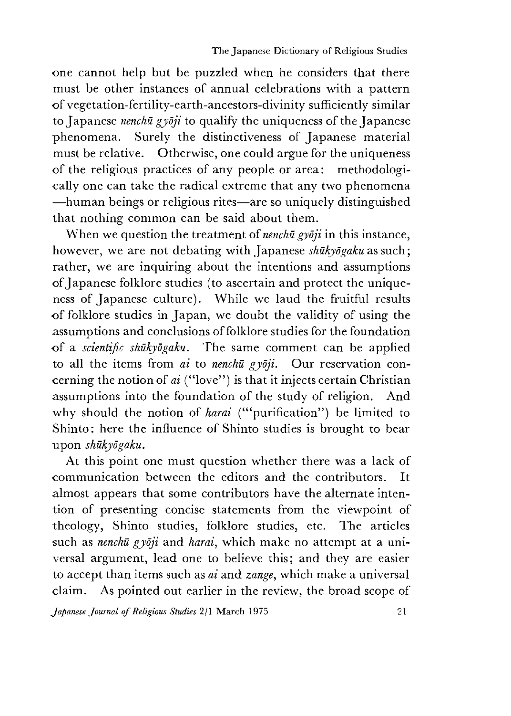one cannot help but be puzzled when he considers that there must be other instances of annual celebrations with a pattern of vegetation-fertility-earth-ancestors-divinity sufficiently similar to Japanese *nenchu gydji* to qualify the uniqueness of the Japanese phenomena. Surely the distinctiveness of Japanese material must be relative. Otherwise, one could argue for the uniqueness of the religious practices of any people or area: methodologically one can take the radical extreme that any two phenomena —human beings or religious rites—are so uniquely distinguished that nothing common can be said about them.

When we question the treatment *oi nenchu gyoji* in this instance, however, we are not debating with Japanese shukyogaku as such; rather, we are inquiring about the intentions and assumptions of Japanese folklore studies (to ascertain and protect the uniqueness of Japanese culture). While we laud the fruitful results of folklore studies in Japan, we doubt the validity of using the assumptions and conclusions of folklore studies for the foundation of a *scientific shukyogaku.* The same comment can be applied to all the items from *ai* to *nenchu gydji.* Our reservation concerning the notion of *ai* ("love") is that it injects certain Christian assumptions into the foundation of the study of religion. And why should the notion of *harai* ("'purification") be limited to Shinto: here the influence of Shinto studies is brought to bear upon *shukyogaku.*

At this point one must question whether there was a lack of communication between the editors and the contributors. It almost appears that some contributors have the alternate intention of presenting concise statements from the viewpoint of theology, Shinto studies, folklore studies, etc. The articles such as *nenchu gyoji* and *harai,* which make no attempt at a universal argument, lead one to believe this; and they are easier to accept than items such as *ai* and *zange,* which make a universal claim. As pointed out earlier in the review, the broad scope of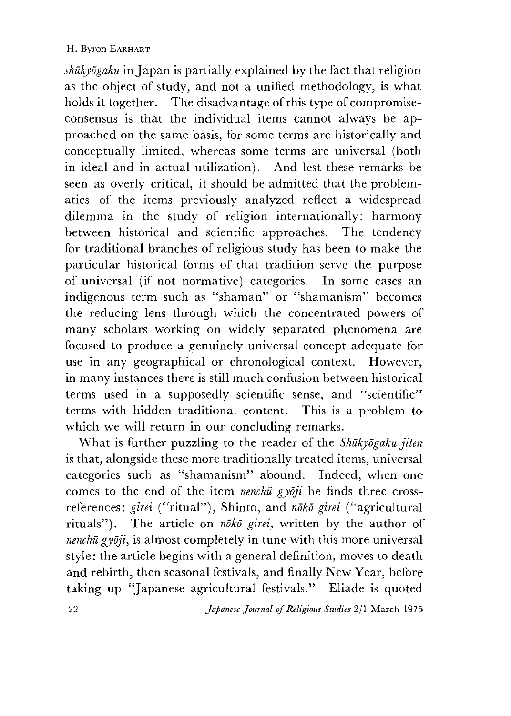*shukyogaku* in Japan is partially explained by the fact that religion as the object of study, and not a unified methodology, is what holds it together. The disadvantage of this type of compromiseconsensus is that the individual items cannot always be approached on the same basis, for some terms are historically and conceptually limited, whereas some terms are universal (both in ideal and in actual utilization). And lest these remarks be seen as overly critical, it should be admitted that the problematics of the items previously analyzed reflect a widespread dilemma in the study of religion internationally: harmony between historical and scientific approaches. The tendency for traditional branches of religious study has been to make the particular historical forms of that tradition serve the purpose of universal (if not normative) categories. In some cases an indigenous term such as "shaman" or "shamanism" becomes the reducing lens through which the concentrated powers of many scholars working on widely separated phenomena are focused to produce a genuinely universal concept adequate for use in any geographical or chronological context. However, in many instances there is still much confusion between historical terms used in a supposedly scientific sense, and "scientific" terms with hidden traditional content. This is a problem to which we will return in our concluding remarks.

What is further puzzling to the reader of the *Shukyogaku jiten* is that, alongside these more traditionally treated items, universal categories such as "shamanism" abound. Indeed, when one comes to the end of the item *nenchu gydji* he finds three crossreferences: *girei* ("ritual"), Shinto, and *nōkō girei* ("agricultural rituals"). The article on *noko girei*, written by the author of *nenchu gyōji*, is almost completely in tune with this more universal style: the article begins with a general definition, moves to death and rebirth, then seasonal festivals, and finally New Year, before taking up "Japanese agricultural festivals." Eliade is quoted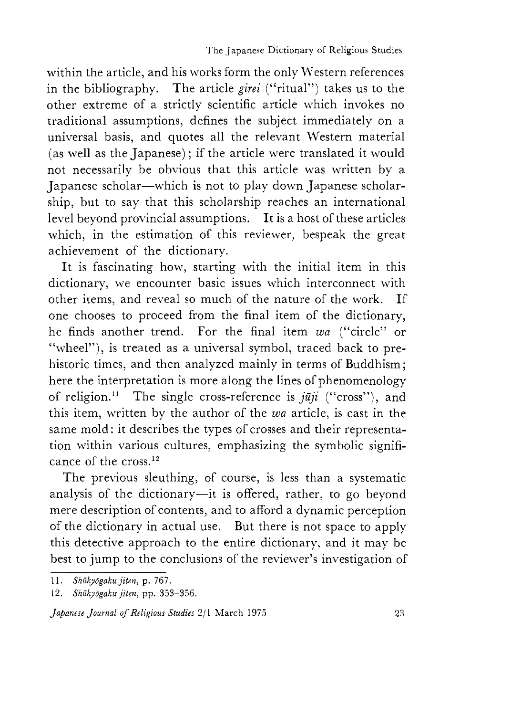within the article, and his works form the only Western references in the bibliography. The article *girei* ("ritual") takes us to the other extreme of a strictly scientific article which invokes no traditional assumptions, defines the subject immediately on a universal basis, and quotes all the relevant Western material (as well as the Japanese); if the article were translated it would not necessarily be obvious that this article was written by a Japanese scholar—which is not to play down Japanese scholarship, but to say that this scholarship reaches an international level beyond provincial assumptions. It is a host of these articles which, in the estimation of this reviewer, bespeak the great achievement of the dictionary.

It is fascinating how, starting with the initial item in this dictionary, we encounter basic issues which interconnect with other items, and reveal so much of the nature of the work. If one chooses to proceed from the final item of the dictionary, he finds another trend. For the final item wa ("circle" or "wheel"), is treated as a universal symbol, traced back to prehistoric times, and then analyzed mainly in terms of Buddhism; here the interpretation is more along the lines of phenomenology of religion.<sup>11</sup> The single cross-reference is  $\hat{i}$ *un* ("cross"), and this item, written by the author of the *wa* article, is cast in the same mold: it describes the types of crosses and their representation within various cultures, emphasizing the symbolic significance of the cross.12

The previous sleuthing, of course, is less than a systematic analysis of the dictionary—it is offered, rather, to go beyond mere description of contents, and to afford a dynamic perception of the dictionary in actual use. But there is not space to apply this detective approach to the entire dictionary, and it may be best to jump to the conclusions of the reviewer's investigation of

<sup>1 1 .</sup> *Shukyogaku jiten,* p. 767.

<sup>12.</sup> *Shukyogaku jiten,* pp. 353-356.

*Japanese Journal of Religious Studies* 2/1 March 1975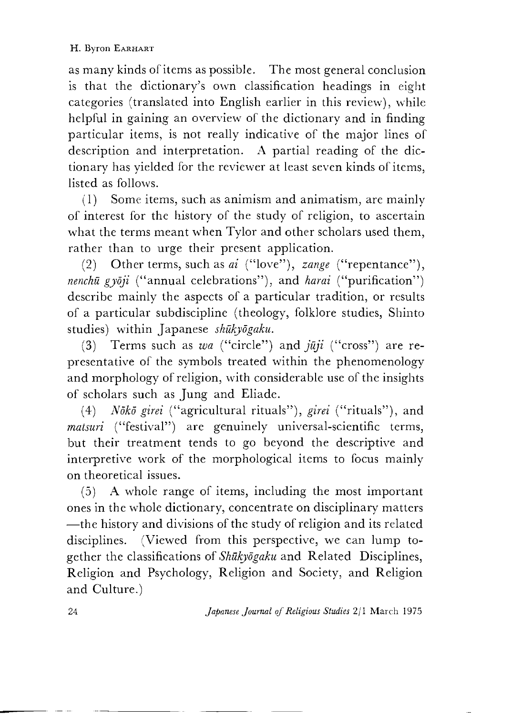as many kinds of items as possible. The most general conclusion is that the dictionary's own classification headings in eight categories (translated into English earlier in this review), while helpful in gaining an overview of the dictionary and in finding particular items, is not really indicative of the major lines of description and interpretation. A partial reading of the dictionary has yielded for the reviewer at least seven kinds of items, listed as follows.

 $(1)$  Some items, such as animism and animatism, are mainly of interest for the history of the study of religion, to ascertain what the terms meant when Tylor and other scholars used them, rather than to urge their present application.

(2) Other terms, such as *ai* ("love"), *zange* ("repentance"), *nenchu gyōji* ("annual celebrations"), and *harai* ("purification") describe mainly the aspects of a particular tradition, or results of a particular subdiscipline (theology, folklore studies, Shinto studies) within Japanese *shukyogaku.*

(3) Terms such as *wa* ("circle") and *juji* ("cross") are representative of the symbols treated within the phenomenology and morphology of religion, with considerable use of the insights of scholars such as Jung and Eliade.

(4) *Nōkō girei* ("agricultural rituals"), *girei* ("rituals"), and *matsuri* ("festival") are genuinely universal-scientific terms, but their treatment tends to go beyond the descriptive and interpretive work of the morphological items to focus mainly on theoretical issues.

(5) A whole range of items, including the most important ones in the whole dictionary, concentrate on disciplinary matters —the history and divisions of the study of religion and its related disciplines. (Viewed from this perspective, we can lump together the classifications of *Shukyogaku* and Related Disciplines, Religion and Psychology, Religion and Society, and Religion and Culture.)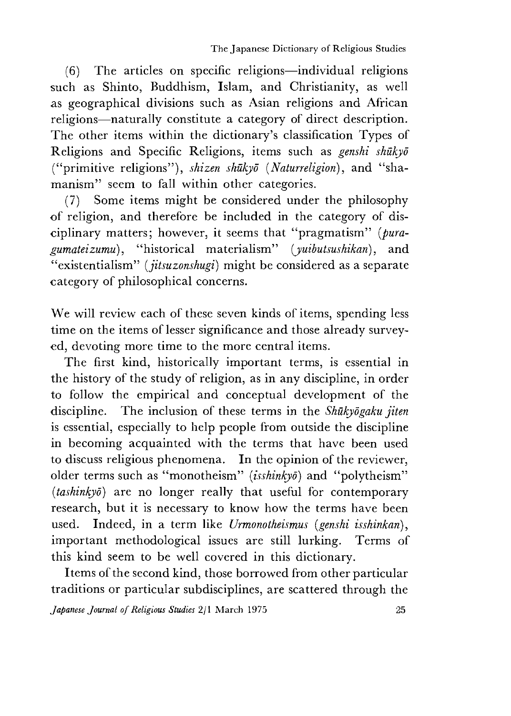(6) The articles on specific religions—individual religions such as Shinto, Buddhism, Islam, and Christianity, as well as geographical divisions such as Asian religions and African religions—naturally constitute a category of direct description. The other items within the dictionary's classification Types of Religions and Specific Religions, items such as *genshi shukyo* ("primitive religions"), *shizen shukyo* (*Naturreligion*), and "shamanism" seem to fall within other categories.

(7) Some items might be considered under the philosophy of religion, and therefore be included in the category of disciplinary matters; however, it seems that "pragmatism" (pura*gumateizumu),* "historical materialism" *{yuibutsushikan),* and "existentialism" *(jitsuzonshugi)* might be considered as a separate category of philosophical concerns.

We will review each of these seven kinds of items, spending less time on the items of lesser significance and those already surveyed, devoting more time to the more central items.

The first kind, historically important terms, is essential in the history of the study of religion, as in any discipline, in order to follow the empirical and conceptual development of the discipline. The inclusion of these terms in the *Shukyogaku jiten* is essential, especially to help people from outside the discipline in becoming acquainted with the terms that have been used to discuss religious phenomena. In the opinion of the reviewer, older terms such as "monotheism" *{isshinkyd)* and "polytheism" *{tashinkyo)* are no longer really that useful for contemporary research, but it is necessary to know how the terms have been used. Indeed, in a term like *Urmonotheismus [genshi isshinkan*), important methodological issues are still lurking. Terms of this kind seem to be well covered in this dictionary.

Items of the second kind, those borrowed from other particular traditions or particular subdisciplines, are scattered through the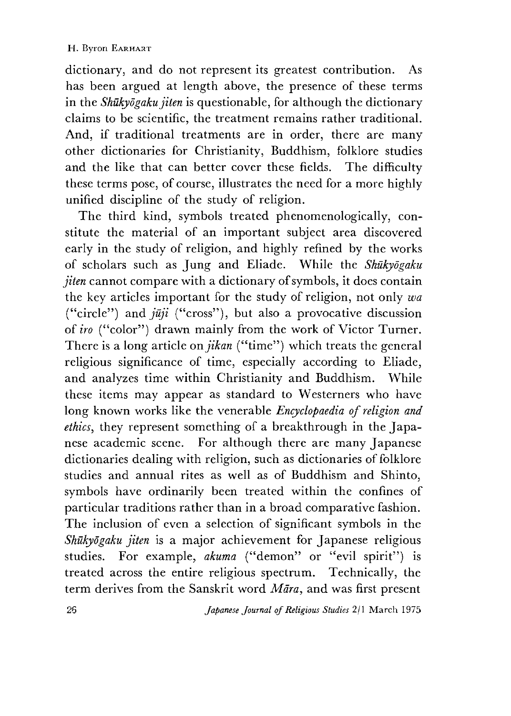dictionary, and do not represent its greatest contribution. As has been argued at length above, the presence of these terms in the *Shukyogaku jiten* is questionable, for although the dictionary claims to be scientific, the treatment remains rather traditional. And, if traditional treatments are in order, there are many other dictionaries for Christianity, Buddhism, folklore studies and the like that can better cover these fields. The difficulty these terms pose, of course, illustrates the need for a more highly unified discipline of the study of religion.

The third kind, symbols treated phenomenologically, constitute the material of an important subject area discovered early in the study of religion, and highly refined by the works of scholars such as Jung and Eliade. While the *Shukyogaku jiten* cannot compare with a dictionary of symbols, it does contain the key articles important for the study of religion, not only *wa* ("circle") and  $j\bar{u}j\bar{i}$  ("cross"), but also a provocative discussion of *iro* ("color") drawn mainly from the work of Victor Turner. There is a long article *on jikan* ("time") which treats the general religious significance of time, especially according to Eliade, and analyzes time within Christianity and Buddhism. While these items may appear as standard to Westerners who have long known works like the venerable *Encyclopaedia of religion and ethics,* they represent something of a breakthrough in the Japanese academic scene. For although there are many Japanese dictionaries dealing with religion, such as dictionaries of folklore studies and annual rites as well as of Buddhism and Shinto, symbols have ordinarily been treated within the confines of particular traditions rather than in a broad comparative fashion. The inclusion of even a selection of significant symbols in the *Shukyogaku jiten* is a major achievement for Japanese religious studies. For example, *akuma* ("demon" or ''evil spirit") is treated across the entire religious spectrum. Technically, the term derives from the Sanskrit word *Mara,* and was first present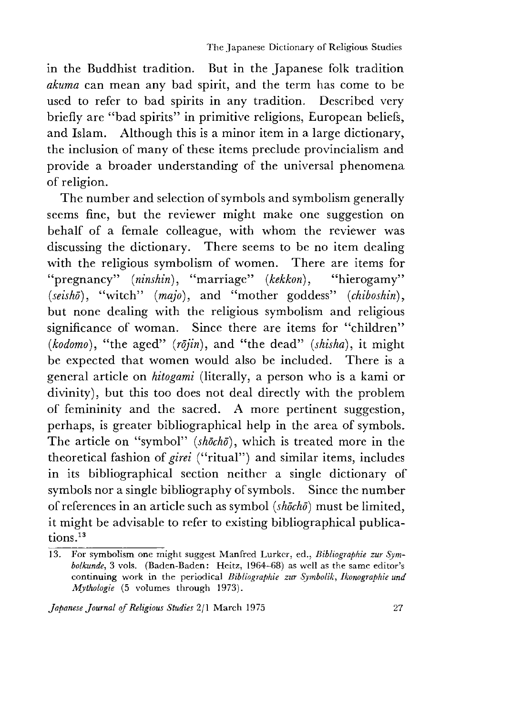in the Buddhist tradition. But in the Japanese folk tradition *akuma* can mean any bad spirit, and the term has come to be used to refer to bad spirits in any tradition. Described very briefly are "bad spirits" in primitive religions, European beliefs, and Islam. Although this is a minor item in a large dictionary, the inclusion of many of these items preclude provincialism and provide a broader understanding of the universal phenomena of religion.

The number and selection of symbols and symbolism generally seems fine, but the reviewer might make one suggestion on behalf of a female colleague, with whom the reviewer was discussing the dictionary. There seems to be no item dealing with the religious symbolism of women. There are items for "pregnancy" *(ninshin)*, "marriage" *(kekkon)*, "hierogamy" (seishō), "witch" (majo), and "mother goddess" (chiboshin), but none dealing with the religious symbolism and religious significance of woman. Since there are items for "children" *(kodomo),* "the aged" *(rdjin*),and "the dead" *(shisha),* it might be expected that women would also be included. There is a general article on *hitogami* (literally, a person who is a kami or divinity), but this too does not deal directly with the problem of femininity and the sacred. A more pertinent suggestion, perhaps, is greater bibliographical help in the area of symbols. The article on "symbol" (shocho), which is treated more in the theoretical fashion of *girei* ("ritual") and similar items, includes in its bibliographical section neither a single dictionary of symbols nor a single bibliography of symbols. Since the number of references in an article such as symbol *(shocho)* must be limited, it might be advisable to refer to existing bibliographical publications.13

<sup>13.</sup> For symbolism one might suggest Manfred Lurker, ed., Bibliographie zur Sym*bolkunde,* 3 vols. (Baden-Baden: Heitz, 1964-68) as well as the same editor's continuing work in the periodical *Bibliographie zur Symbolik, Ikonographie und Mythologie* (5 volumes through 1973).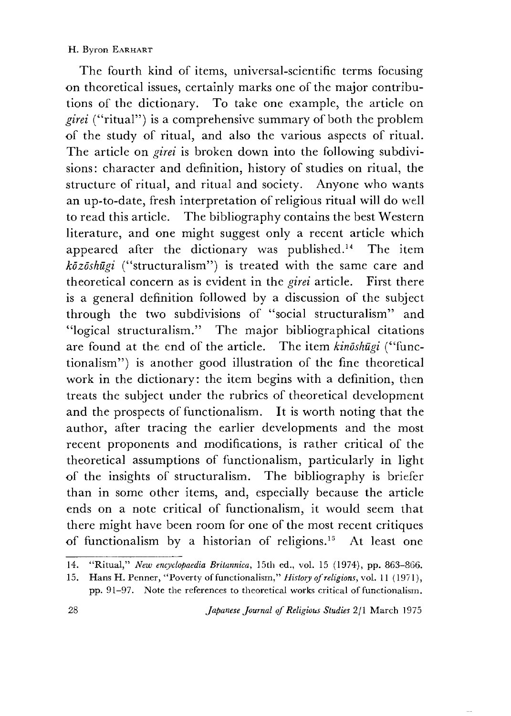#### H. Byron EARHART

The fourth kind of items, universal-scientific terms focusing on theoretical issues, certainly marks one of the major contributions of the dictionary. To take one example, the article on *girei* ("ritual") is a comprehensive summary of both the problem of the study of ritual, and also the various aspects of ritual. The article on *girei* is broken down into the following subdivisions: character and definition, history of studies on ritual, the structure of ritual, and ritual and society. Anyone who wants an up-to-date, fresh interpretation of religious ritual will do well to read this article. The bibliography contains the best Western literature, and one might suggest only a recent article which appeared after the dictionary was published.14 The item *kozoshugi* ("structuralism") is treated with the same care and theoretical concern as is evident in the *girei* article. First there is a general definition followed by a discussion of the subject through the two subdivisions of "social structuralism" and "logical structuralism•" The major bibliographical citations are found at the end of the article. The item *kinoshugi* ("functionalism") is another good illustration of the fine theoretical work in the dictionary: the item begins with a definition, then treats the subject under the rubrics of theoretical development and the prospects of functionalism. It is worth noting that the author, after tracing the earlier developments and the most recent proponents and modifications, is rather critical of the theoretical assumptions of functionalism, particularly in light of the insights of structuralism. The bibliography is briefer than in some other items, and, especially because the article ends on a note critical of functionalism, it would seem that there might have been room for one of the most recent critiques of functionalism by a historian of religions.15 At least one

<sup>14. &</sup>quot;Ritual," *New encyclopaedia Britannica*, 15th ed., vol. 15 (1974), pp. 863-866.

<sup>15.</sup> Hans H. Penner, "Poverty of functionalism," *History of religions*, vol. 11 (1971), pp. 91-97. Note the references to theoretical works critical of functionalism.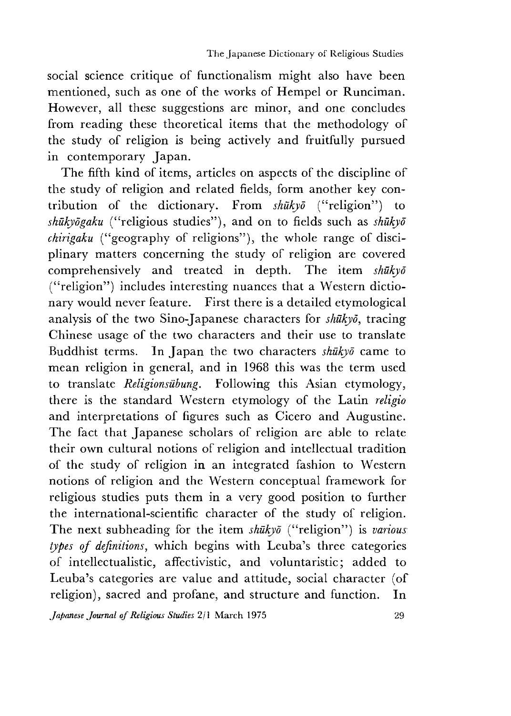social science critique of functionalism might also have been mentioned, such as one of the works of Hempel or Runciman. However, all these suggestions are minor, and one concludes from reading these theoretical items that the methodology of the study of religion is being actively and fruitfully pursued in contemporary Japan.

The fifth kind of items, articles on aspects of the discipline of the study of religion and related fields, form another key contribution of the dictionary. From *shukyo* ("religion") to *shukyogaku* ("religious studies"),and on to fields such as *shukyo chirigaku* ("geography of religions"), the whole range of disciplinary matters concerning the study of religion are covered comprehensively and treated in depth. The item *shukyo* ("religion") includes interesting nuances that a Western dictionary would never feature. First there is a detailed etymological analysis of the two Sino-Japanese characters for *shukyo*, tracing Chinese usage of the two characters and their use to translate Buddhist terms. In Japan the two characters *shukyo* came to mean religion in general, and in 1968 this was the term used to translate *Religionsiibung.* Following this Asian etymology, there is the standard Western etymology of the Latin *religio* and interpretations of figures such as Cicero and Augustine. The fact that Japanese scholars of religion are able to relate their own cultural notions of religion and intellectual tradition of the study of religion in an integrated fashion to Western notions of religion and the Western conceptual framework for religious studies puts them in a very good position to further the international-scientific character of the study of religion. The next subheading for the item *shukyo* ("religion") is *various types of definitions,* which begins with Leuba's three categories of intellectualistic, affectivistic, and voluntaristic; added to Leuba's categories are value and attitude, social character (of religion), sacred and profane, and structure and function. In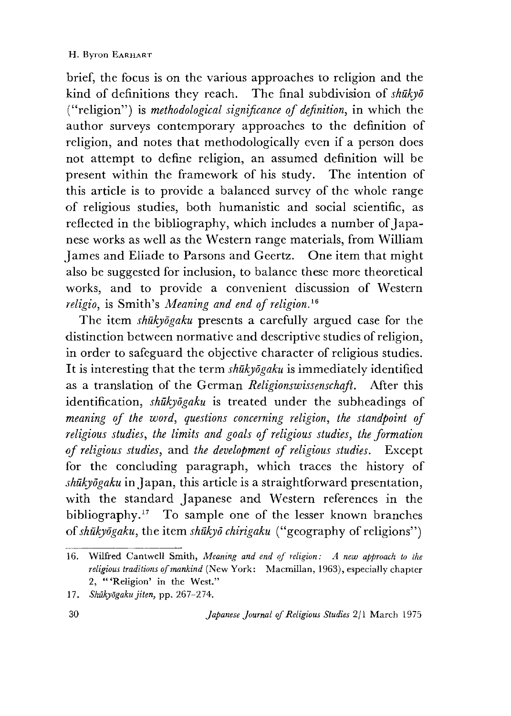brief, the focus is on the various approaches to religion and the kind of definitions they reach. The final subdivision of *shukyo* ("religion") is *methodological significance of definition,* in which the author surveys contemporary approaches to the definition of religion, and notes that methodologically even if a person does not attempt to define religion, an assumed definition will be present within the framework of his study. The intention of this article is to provide a balanced survey of the whole range of religious studies, both humanistic and social scientific, as reflected in the bibliography, which includes a number of Japanese works as well as the Western range materials, from William James and Eliade to Parsons and Geertz. One item that might also be suggested for inclusion, to balance these more theoretical works, and to provide a convenient discussion of Western *religio,* is Smith's *Meaning and end of religion*

The item *shūkyogaku* presents a carefully argued case for the distinction between normative and descriptive studies of religion, in order to safeguard the objective character of religious studies. It is interesting that the term *shukyogaku* is immediately identified as a translation of the German *Religionswissenschaft.* After this identification, *shukyogaku* is treated under the subheadings of *meaning of the word, questions concerning religion, the standpoint of religious studies, the limits and goals of religious studies, the formation of religious studies,* and *the development of religious studies.* Except for the concluding paragraph, which traces the history of *shukyogaku* in Japan, this article is a straightforward presentation, with the standard Japanese and Western references in the bibliography.17 To sample one of the lesser known branches *of shukyogaku*, the item *shukyo chirigaku* ("geography of religions")

<sup>16.</sup> Wilfred Cantwell Smith, *Meaning and end of religion: A new approach to the religious traditions of mankind* (New York: Macmillan, 1963), especially chapter 2, "'Religion' in the West."

<sup>17.</sup> *Shukyogaku jiten}* pp. 267-274.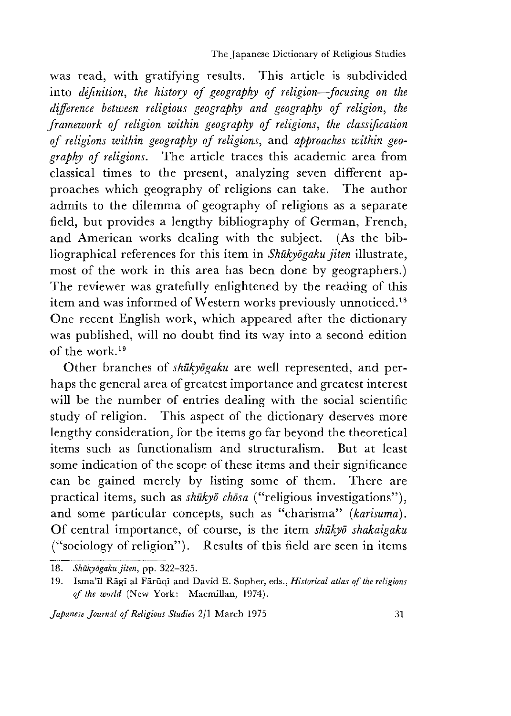The Japanese Dictionary of Religious Studies

was read, with gratifying results. This article is subdivided into *definition, the history of geography of religion—focusing on the* difference between religious geography and geography of religion, the *framework of religion within geography of religions, the classification of religions within geography of religions*,and *approaches within geography of religions.* The article traces this academic area from classical times to the present, analyzing seven different approaches which geography of religions can take. The author admits to the dilemma of geography of religions as a separate field, but provides a lengthy bibliography of German, French, and American works dealing with the subject. (As the bibliographical references for this item in *Shukyogaku jiten* illustrate, most of the work in this area has been done by geographers.) The reviewer was gratefully enlightened by the reading of this item and was informed of Western works previously unnoticed.18 One recent English work, which appeared after the dictionary was published, will no doubt find its way into a second edition of the work.19

Other branches of *shukyogaku* are well represented, and perhaps the general area of greatest importance and greatest interest will be the number of entries dealing with the social scientific study of religion. This aspect of the dictionary deserves more lengthy consideration, for the items go far beyond the theoretical items such as functionalism and structuralism. But at least some indication of the scope of these items and their significance can be gained merely by listing some of them. There are practical items, such as *shūkyō chōsa* ("religious investigations"), and some particular concepts, such as "charisma" *(karisuma).* Of central importance, of course, is the item *shūkvō shakaigaku* ("sociology of religion"). Results of this field are seen in items

<sup>18.</sup> *Shukyogaku jiten,* pp. 322-325.

<sup>19.</sup> Isma'il Rāgī al Fārūqī and David E. Sopher, eds., *Historical atlas of the religions* of the world (New York: Macmillan, 1974).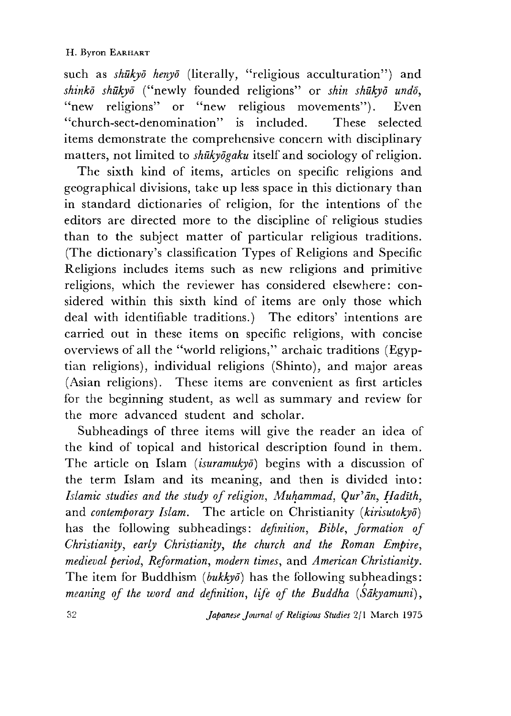such as *shukyd henyo* (literally, "religious acculturation") and *shinko shukyd* ("newly founded religions,' or *shin shukyd undo* "new religions" or "new religious movements"). Even £Cchurch-sect-denomination,' is included. These selected items demonstrate the comprehensive concern with disciplinary matters, not limited to *shukyogaku* itself and sociology of religion.

The sixth kind of items, articles on specific religions and geographical divisions, take up less space in this dictionary than in standard dictionaries of religion, for the intentions of the editors are directed more to the discipline of religious studies than to the subject matter of particular religious traditions. (The dictionary's classification Types of Religions and Specific Religions includes items such as new religions and primitive religions, which the reviewer has considered elsewhere: considered within this sixth kind of items are only those which deal with identifiable traditions.) The editors' intentions are carried out in these items on specific religions, with concise overviews of all the "world religions," archaic traditions (Egyptian religions), individual religions (Shinto), and major areas (Asian religions). These items are convenient as first articles for the beginning student, as well as summary and review for the more advanced student and scholar.

Subheadings of three items will give the reader an idea of the kind of topical and historical description found in them. The article on Islam *{isuramukyo)* begins with a discussion of the term Islam and its meaning, and then is divided into: *Islamic studies and the study of religion, Muhammad, Qur'ān, Hadīth,* and *contemporary Islam.* The article on Christianity *[kirisutokyo]* has the following subheadings: *definition, Bible, formation of Christianity, early Christianity, the church and the Roman Empire, medieval period, Reformation, modern times,* and *American Christianity.* The item for Buddhism *[bukkyo)* has the following subheadings: *meaning of the word and definition, life of the Buddha (Sakyamuni*),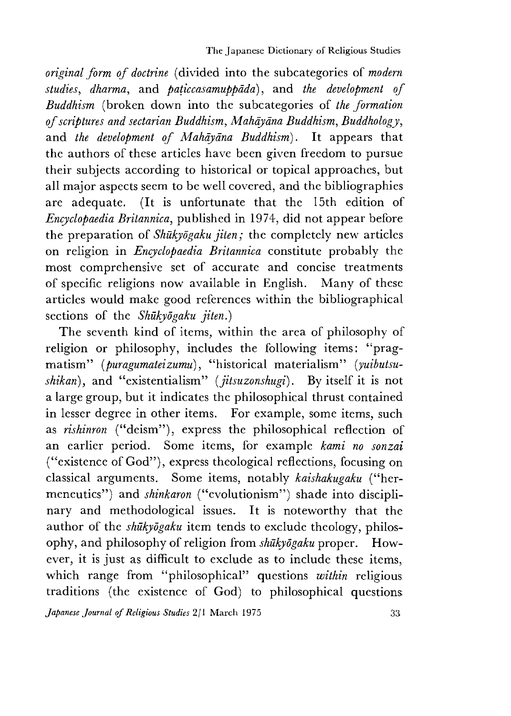*original form of doctrine* (divided into the subcategories of *modern studies, dharma,* and *paticcasamuppada*), and *the development of Buddhism* (broken down into the subcategories of *the formation of scriptures and sectarian Buddhism, Mahayana Buddhism, Buddhology,* and *the development of Mahayana Buddhism*). It appears that the authors of these articles have been given freedom to pursue their subjects according to historical or topical approaches, but all major aspects seem to be well covered, and the bibliographies are adequate. (It is unfortunate that the 15th edition of *Encyclopaedia Britannica,* published in 1974, did not appear before the preparation of *Shukyogaku jiten;* the completely new articles on religion in *Encyclopaedia Britannica* constitute probably the most comprehensive set of accurate and concise treatments of specific religions now available in English. Many of these articles would make good references within the bibliographical sections of the *Shukyogaku jiten.)*

The seventh kind of items, within the area of philosophy of religion or philosophy, includes the following items: "pragmatism" (puragumateizumu), "historical materialism" (puibutsu*shikan),* and "existentialism" *[jitsuzonshugi].* By itself it is not a large group, but it indicates the philosophical thrust contained in lesser degree in other items. For example, some items, such as *rishinron* ("deism"), express the philosophical reflection of an earlier period. Some items, for example *kami no sonzai* ("existence of God"), express theological reflections, focusing on classical arguments. Some items, notably *kaishakugaku* ("hermeneutics") and *shinkaron* ("evolutionism") shade into disciplinary and methodological issues. It is noteworthy that the author of the *shūkyogaku* item tends to exclude theology, philosophy, and philosophy of religion from *shukyogaku* proper. However, it is just as difficult to exclude as to include these items, which range from "philosophical" questions *within* religious traditions (the existence of God) to philosophical questions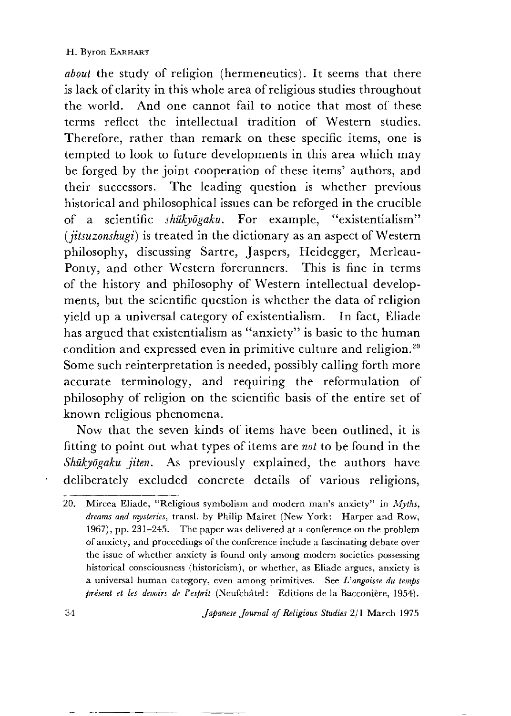*about* the study of religion (hermeneutics). It seems that there is lack of clarity in this whole area of religious studies throughout the world. And one cannot fail to notice that most of these terms reflect the intellectual tradition of Western studies. Therefore, rather than remark on these specific items, one is tempted to look to future developments in this area which may be forged by the joint cooperation of these items' authors, and their successors. The leading question is whether previous historical and philosophical issues can be reforged in the crucible of a scientific *shukyogaku.* For example, "existentialism" *(iitsuzonshugi)* is treated in the dictionary as an aspect of Western philosophy, discussing Sartre, Jaspers, Heidegger, Merleau-Ponty, and other Western forerunners. This is fine in terms of the history and philosophy of Western intellectual developments, but the scientific question is whether the data of religion yield up a universal category of existentialism. In fact, Eliade has argued that existentialism as "anxiety" is basic to the human condition and expressed even in primitive culture and religion.20 Some such reinterpretation is needed, possibly calling forth more accurate terminology, and requiring the reformulation of philosophy of religion on the scientific basis of the entire set of known religious phenomena.

Now that the seven kinds of items have been outlined, it is fitting to point out what types of items are *not* to be found in the *Shukyogaku jiten.* As previously explained, the authors have deliberately excluded concrete details of various religions,

<sup>20.</sup> Mircea Eliade, "Religious symbolism and modern man's anxiety" in *Myths*, *dreams and mysteries,* transl. by Philip Mairet (New York: Harper and Row, 1967), pp. 231—245. The paper was delivered at a conference on the problem of anxiety, and proceedings of the conference include a fascinating debate over the issue of whether anxiety is found only among modern societies possessing historical consciousness (historicism), or whether, as Eliade argues, anxiety is a universal human category, even among primitives. See *Vangoisse du temps present et les devoirs de Vesprit* (Neufchatel: Editions de la Baccoaiere, 1954).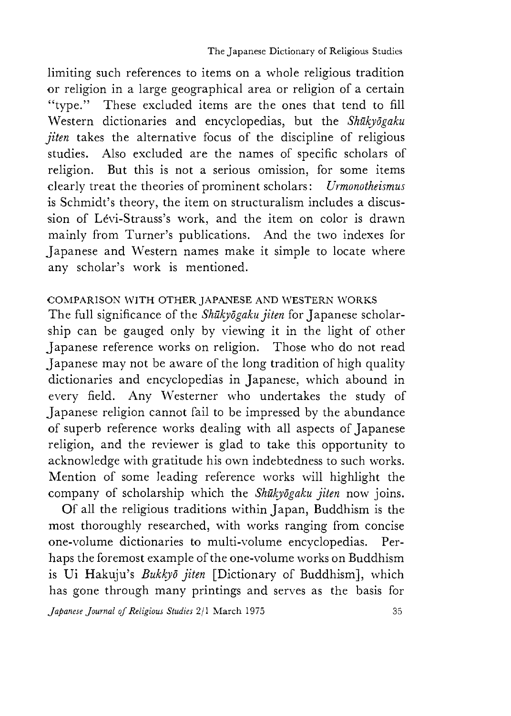limiting such references to items on a whole religious tradition or religion in a large geographical area or religion of a certain "type." These excluded items are the ones that tend to fill Western dictionaries and encyclopedias, but the *Shukyogaku jiten* takes the alternative focus of the discipline of religious studies. Also excluded are the names of specific scholars of religion. But this is not a serious omission, for some items clearly treat the theories of prominent scholars: *Urmonotheismus* is Schmidt's theory, the item on structuralism includes a discussion of Lévi-Strauss's work, and the item on color is drawn mainly from Turner's publications. And the two indexes for Japanese and Western names make it simple to locate where any scholar's work is mentioned.

## COMPARISON WITH OTHER JAPANESE AND WESTERN WORKS

The full significance of the *Shukyogaku jiten* for Japanese scholarship can be gauged only by viewing it in the light of other Japanese reference works on religion. Those who do not read Japanese may not be aware of the long tradition of high quality dictionaries and encyclopedias in Japanese, which abound in every field. Any Westerner who undertakes the study of Japanese religion cannot fail to be impressed by the abundance of superb reference works dealing with all aspects of Japanese religion, and the reviewer is glad to take this opportunity to acknowledge with gratitude his own indebtedness to such works. Mention of some leading reference works will highlight the company of scholarship which the *Shukyogaku jiten* now joins.

Of all the religious traditions within Japan, Buddhism is the most thoroughly researched, with works ranging from concise one-volume dictionaries to multi-volume encyclopedias. Perhaps the foremost example of the one-volume works on Buddhism is Ui Hakuju's *Bukkyd jiten* [Dictionary of Buddhism], which has gone through many printings and serves as the basis for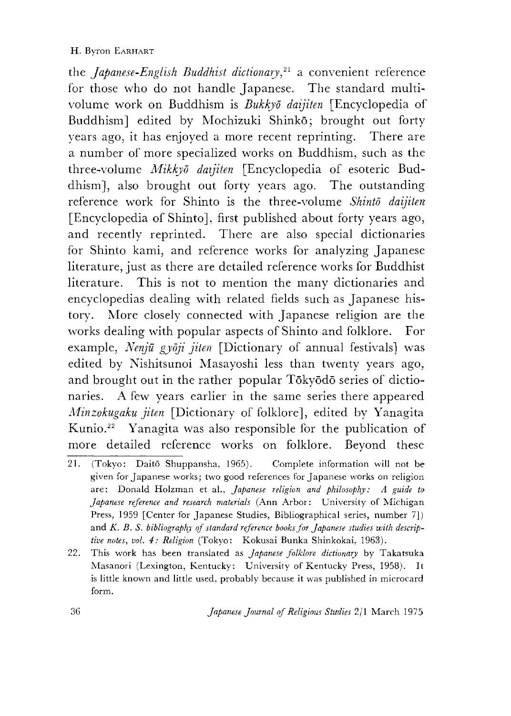the *Japanese-English Buddhist dictionary^21* a convenient reference for those who do not handle Japanese. The standard multivolume work on Buddhism is *Bukkyd daijiten* [Encyclopedia of Buddhism] edited by Mochizuki Shinkō; brought out forty years ago, it has enjoyed a more recent reprinting. There are a number of more specialized works on Buddhism, such as the three-volume *Aiikkyd daijiten* [Encyclopedia of esoteric Buddhism], also brought out forty years ago. The outstanding reference work for Shinto is the three-volume *Shinto daijiten* [Encyclopedia of Shinto], first published about forty years ago, and recently reprinted. There are also special dictionaries for Shinto kami, and reference works for analyzing Japanese literature, just as there are detailed reference works for Buddhist literature. This is not to mention the many dictionaries and encyclopedias dealing with related fields such as Japanese history. More closely connected with Japanese religion are the works dealing with popular aspects of Shinto and folklore. For example, *Nenju gyoji jiten* [Dictionary of annual festivals] was. edited by Nishitsunoi Masayoshi less than twenty years ago, and brought out in the rather popular Tōkyōdō series of dictionaries. A few years earlier in the same series there appeared *Minzokugaku jiten* [Dictionary of folklore], edited by Yanagita Kunio.22 Yanagita was also responsible for the publication of more detailed reference works on folklore. Beyond these

- 21. (Tokyo: Daitō Shuppansha, 1965). Complete information will not be given for Japanese works; two good references for Japanese works on religion are: Donald Holzman et al., *Japanese religion and philosophy: A guide to Japanese reference and research materials* (Ann Arbor: University of Michigan Press, 1959 [Center for Japanese Studies, Bibliographical series, number 7]) and *K. B. S. bibliography of standard reference books for Japanese studies with descriptive notes, vol. 4: Religion* (Tokyo: Kokusai Bunka Shinkokai, 1963).
- 22. This work has been translated as *Japanese folklore dictionary* by Takatsuka Masanori (Lexington, Kentucky: University of Kentucky Press, 1958). 11 is little known and little used, probably because it was published in microcard form.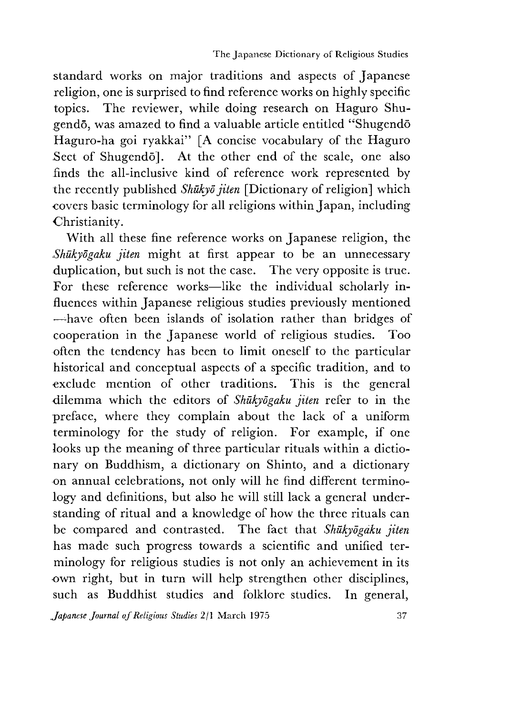standard works on major traditions and aspects of Japanese religion, one is surprised to find reference works on highly specific topics. The reviewer, while doing research on Haguro Shugendō, was amazed to find a valuable article entitled "Shugendō Haguro-ha goi ryakkai" [A concise vocabulary of the Haguro Sect of Shugendō]. At the other end of the scale, one also finds the all-inclusive kind of reference work represented by the recently published *Shukyo jiten* [Dictionary of religion] which covers basic terminology for all religions within Japan, including Christianity.

With all these fine reference works on Japanese religion, the *.Shukyogaku jiten* might at first appear to be an unnecessary duplication, but such is not the case. The very opposite is true. For these reference works—like the individual scholarly influences within Japanese religious studies previously mentioned —-have often been islands of isolation rather than bridges of cooperation in the Japanese world of religious studies. Too often the tendency has been to limit oneself to the particular historical and conceptual aspects of a specific tradition, and to exclude mention of other traditions. This is the general dilemma which the editors of *Shukyogaku jiten* refer to in the preface, where they complain about the lack of a uniform terminology for the study of religion. For example, if one looks up the meaning of three particular rituals within a dictionary on Buddhism, a dictionary on Shinto, and a dictionary on annual celebrations, not only will he find different terminology and definitions, but also he will still lack a general understanding of ritual and a knowledge of how the three rituals can be compared and contrasted. The fact that *Shukyogaku jiten* has made such progress towards a scientific and unified terminology for religious studies is not only an achievement in its own right, but in turn will help strengthen other disciplines, such as Buddhist studies and folklore studies. In general,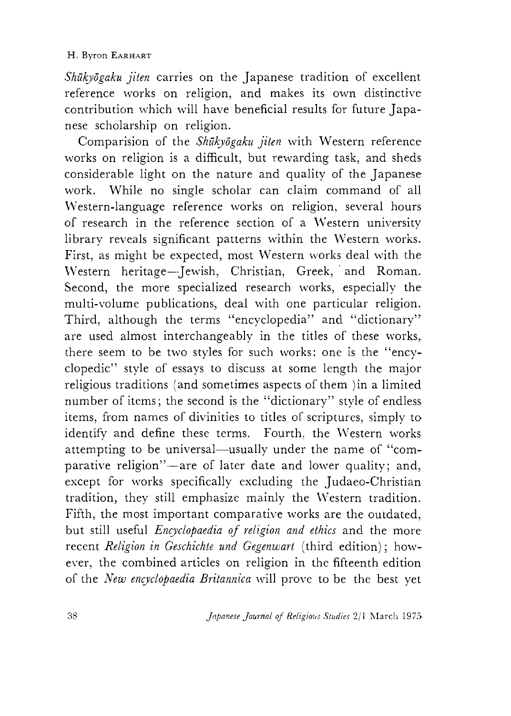### H. Byron EARHART

*Shukyogaku jiten* carries on the Japanese tradition of excellent reference works on religion,and makes its own distinctive contribution which will have beneficial results for future Japanese scholarship on religion.

Comparision of the *Shukyogaku jiten* with Western reference works on religion is a difficult, but rewarding task, and sheds considerable light on the nature and quality of the Japanese work. While no single scholar can claim command of all Western-language reference works on religion, several hours of research in the reference section of a Western university library reveals significant patterns within the Western works. First, as might be expected, most Western works deal with the Western heritage-Jewish, Christian, Greek, and Roman. Second, the more specialized research works, especially the multi-volume publications, deal with one particular religion. Third, although the terms "encyclopedia" and "dictionary" are used almost interchangeably in the titles of these works,, there seem to be two styles for such works: one is the "encyclopedic" style of essays to discuss at some length the major religious traditions (and sometimes aspects of them )in a limited number of items; the second is the "dictionary" style of endless items, from names of divinities to titles of scriptures, simply to identify and define these terms. Fourth, the Western works attempting to be universal—usually under the name of "comparative religion"—are of later date and lower quality; and, except for works specifically excluding the Judaeo-Christian tradition, they still emphasize mainly the Western tradition. Fifth, the most important comparative works are the outdated, but still useful *Encyclopaedia of religion and ethics* and the more recent *Religion in Geschichte und Gegenwart* (third edition); however, the combined articles on religion in the fifteenth edition of the *New encyclopaedia Britannica* will prove to be the best yet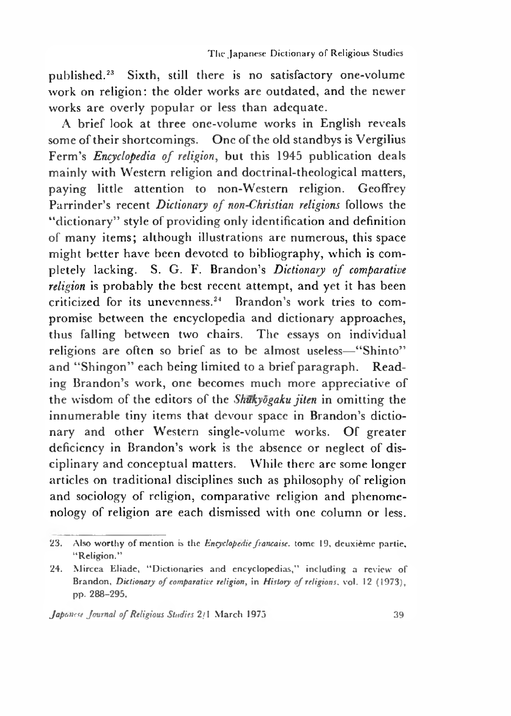published.23 Sixth, still there is no satisfactory one-volume work on religion: the older works are outdated, and the newer works are overly popular or less than adequate.

A brief look at three one-volume works in English reveals some of their shortcomings. One of the old standbys is Vergilius Ferm's *Encyclopedia of religion,* but this 1945 publication deals mainly with Western religion and doctrinal-theological matters, paying little attention to non-Western religion. Geoffrey Parrinder's recent *Dictionary of non-Christian religions* follows the "dictionary" style of providing only identification and definition of many items; although illustrations are numerous, this space might better have been devoted to bibliography, which is completely lacking. S. G. F. Brandon's *Dictionary of comparative religion* is probably the best recent attempt, and yet it has been criticized for its unevenness.24 Brandon's work tries to compromise between the encyclopedia and dictionary approaches, thus falling between two chairs. The essays on individual religions are often so brief as to be almost useless—"Shinto" and "Shingon" each being limited to a brief paragraph. Reading Brandon's work, one becomes much more appreciative of the wisdom of the editors of the *Shukyogaku jiten* in omitting the innumerable tiny items that devour space in Brandon's dictionary and other Western single-volume works. Of greater deficicncy in Brandon's work is the absence or neglect of disciplinary and conceptual matters. While there arc some longer articles on traditional disciplines such as philosophy of religion and sociology of religion, comparative religion and phenomenology of religion are each dismissed with one column or less.

<sup>23.</sup> Also worthy of mention is the *Encyclopedie francaise*, tome 19, deuxième partie, "Religion."

<sup>24.</sup> Mircea Eliade, 44Dictionaries and encyclopedias," including a review of Brandon, *Dictionary of comparative religion*, in *History of religions*, vol. 12 (1973), pp. 288-295.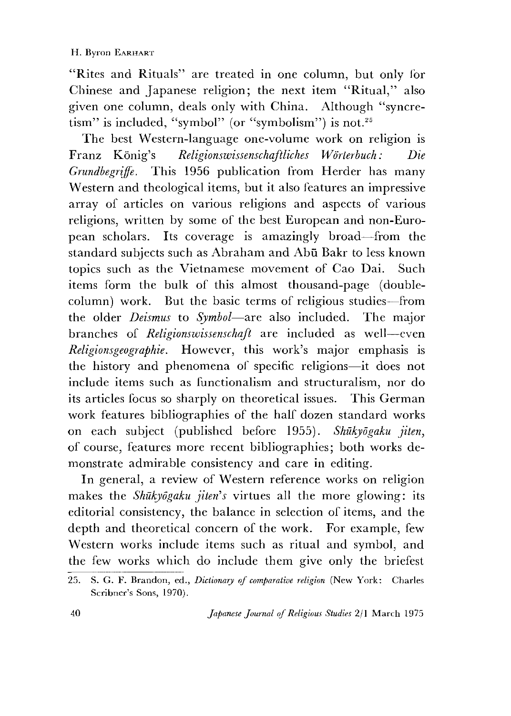"Rites and Rituals" are treated in one column, but only lor Chinese and Japanese religion; the next item "Ritual," also given one column, deals only with China. Although "syncretism" is included, "symbol" (or "symbolism") is not.<sup>25</sup>

The best Western-language one-volume work on religion is Franz Konig's *Religionswissenschaftliches Wdrterbuch: Die Grundbegriffe.* This 1956 publication from Herder has many Western and theological items, but it also features an impressive array of articles on various religions and aspects of various religions, written by some of the best European and non-European scholars. Its coverage is amazingly broad—from the standard subjects such as Abraham and Abū Bakr to less known topics such as the Vietnamese movement of Cao Dai. Such items form the bulk of this almost thousand-page (doublecolumn) work. But the basic terms of religious studies—from the older *Deismus* to *Symbol*—are also included. The major branches of *Religionswissenschaft* are included as well—even *Religionsgeographie•* However, this work's major emphasis is the history and phenomena of specific religions—it does not include items such as functionalism and structuralism, nor do its articles focus so sharply on theoretical issues. This German work features bibliographies of the half dozen standard works on each subject (published before 1955). *Shukyogaku jiten,* of course, features more recent bibliographies; both works demonstrate admirable consistency and care in editing.

In general, a review of Western reference works on religion makes the *Shūkyōgaku jiten's* virtues all the more glowing: its editorial consistency, the balance in selection of items, and the depth and theoretical concern of the work. For example, few Western works include items such as ritual and symbol, and the few works which do include them give only the briefest

<sup>25.</sup> S. G. F. Brandon, ed., *Dictionary of comparative religion* (New York: Charles Scribner's Sons, 1970).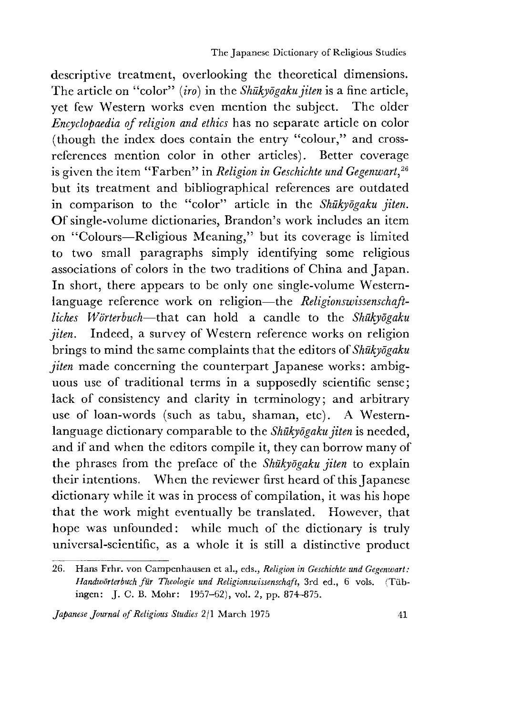descriptive treatment, overlooking the theoretical dimensions. The article on "color" *(iro)* in the *Shukyogaku jiten* is a fine article, yet few Western works even mention the subject. The older *Encyclopaedia of religion and ethics* has no separate article on color (though the index does contain the entry "colour," and crossreferences mention color in other articles). Better coverage is given the item "Farben" in *Religion in Geschichte und Gegenwart,26* but its treatment and bibliographical references are outdated in comparison to the "color" article in the *Shukyogaku jiten.* Of single-volume dictionaries, Brandon's work includes an item on "Colours—Religious Meaning," but its coverage is limited to two small paragraphs simply identifying some religious associations of colors in the two traditions of China and Japan. In short, there appears to be only one single-volume Westernlanguage reference work on religion—the *Religionswissenschaftliches Wdrterbuch*—that can hold a candle to the *Shukyogaku jiten.* Indeed, a survey of Western reference works on religion brings to mind the same complaints that the editors of *Shukyogaku jiten* made concerning the counterpart Japanese works: ambiguous use of traditional terms in a supposedly scientific sense; lack of consistency and clarity in terminology; and arbitrary use of loan-words (such as tabu, shaman, etc). A Westernlanguage dictionary comparable to the *Shukyogaku jiten* is needed, and if and when the editors compile it, they can borrow many of the phrases from the preface of the *Shukyogaku jiten* to explain their intentions. When the reviewer first heard of this Japanese dictionary while it was in process of compilation, it was his hope that the work might eventually be translated. However, that hope was unfounded: while much of the dictionary is truly universal-scientific, as a whole it is still a distinctive product

<sup>26.</sup> Hans Frhr. von Campenhausen et al., eds., *Religion in Geschichte und Gegenwart*: Handwörterbuch für Theologie und Religionswissenschaft, 3rd ed., 6 vols. (Tübingen: J. C. B. Mohr: 1957-62), vol. *2,* pp. 874-875.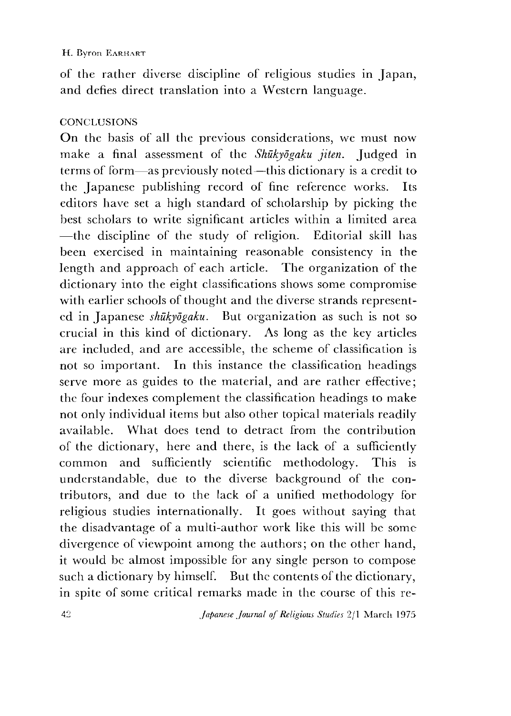#### H. Byron EARHART

of the rather diverse discipline of religious studies in Japan, and defies direct translation into a Western language.

### **CONCLUSIONS**

On the basis of all the previous considerations, we must now make a final assessment of the *Shukyogaku jiten.* Judged in terms of form—as previously noted—this dictionary is a credit to the Japanese publishing record of fine reference works. Its editors have set a high standard of scholarship by picking the best scholars to write significant articles within a limited area ■~the discipline of the study of religion. Editorial skill has been exercised in maintaining reasonable consistency in the length and approach of each article. The organization of the dictionary into the eight classifications shows some compromise with earlier schools of thought and the diverse strands represented in Japanese *shukyogaku.* But organization as such is not so crucial in this kind of dictionary. As long as the key articles are included, and are accessible, the scheme of classification is not so important. In this instance the classification headings serve more as guides to the material, and are rather effective; the four indexes complement the classification headings to make not only individual items but also other topical materials readily available. What does tend to detract from the contribution of the dictionary, here and there, is the lack of a sufficiently common and sufficiently scientific methodology. This is understandable, due to the diverse background of the contributors, and due to the lack of a unified methodology for religious studies internationally. It goes without saying that the disadvantage of a multi-author work like this will be some divergence of viewpoint among the authors; on the other hand, it would be almost impossible for any single person to compose such a dictionary by himself. But the contents of the dictionary, in spite of some critical remarks made in the course of this re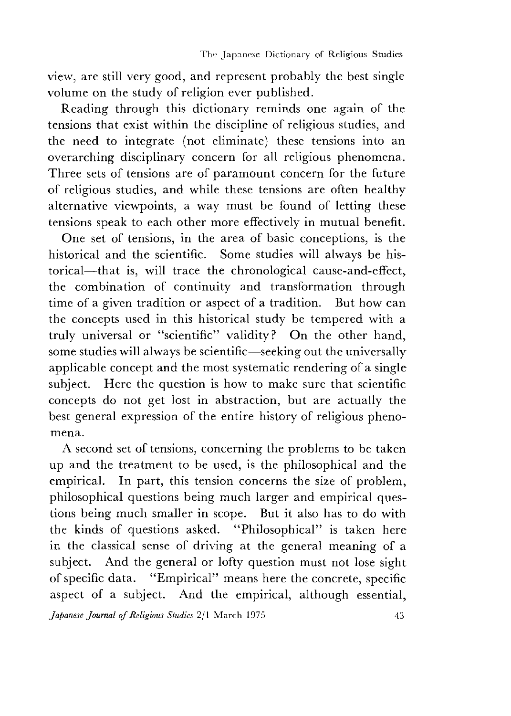view, are still very good, and represent probably the best single volume on the study of religion ever published.

Reading through this dictionary reminds one again of the tensions that exist within the discipline of religious studies, and the need to integrate (not eliminate) these tensions into an overarching disciplinary concern for all religious phenomena. Three sets of tensions are of paramount concern for the future of religious studies, and while these tensions are often healthy alternative viewpoints, a way must be found of letting these tensions speak to each other more effectively in mutual benefit.

One set of tensions, in the area of basic conceptions, is the historical and the scientific. Some studies will always be historical—that is, will trace the chronological cause-and-effect, the combination of continuity and transformation through time of a given tradition or aspect of a tradition. But how can the concepts used in this historical study be tempered with a truly universal or "scientific" validity ? On the other hand, some studies will always be scientific—seeking out the universally applicable concept and the most systematic rendering of a single subject. Here the question is how to make sure that scientific concepts do not get lost in abstraction, but are actually the best general expression of the entire history of religious phenomena.

A second set of tensions, concerning the problems to be taken up and the treatment to be used, is the philosophical and the empirical. In part, this tension concerns the size of problem, philosophical questions being much larger and empirical questions being much smaller in scope. But it also has to do with the kinds of questions asked. "Philosophical" is taken here in the classical sense of driving at the general meaning of a subject. And the general or lofty question must not lose sight of specific data. "Empirical" means here the concrete, specific aspect of a subject. And the empirical, although essential